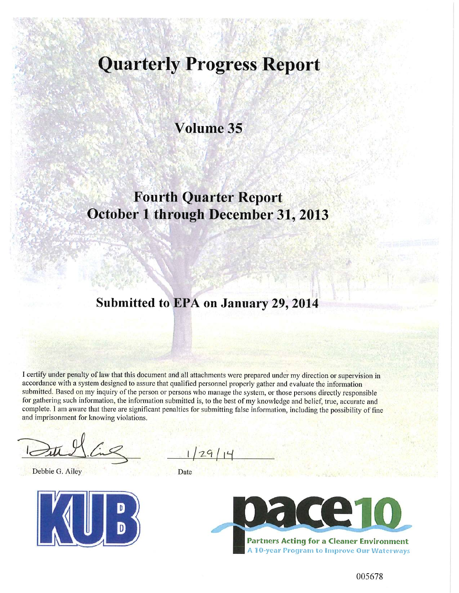# **Quarterly Progress Report**

Volume 35

## **Fourth Quarter Report October 1 through December 31, 2013**

## Submitted to EPA on January 29, 2014

I certify under penalty of law that this document and all attachments were prepared under my direction or supervision in accordance with a system designed to assure that qualified personnel properly gather and evaluate the information submitted. Based on my inquiry of the person or persons who manage the system, or those persons directly responsible for gathering such information, the information submitted is, to the best of my knowledge and belief, true, accurate and complete. I am aware that there are significant penalties for submitting false information, including the possibility of fine and imprisonment for knowing violations.

Debbie G. Ailey



Date



005678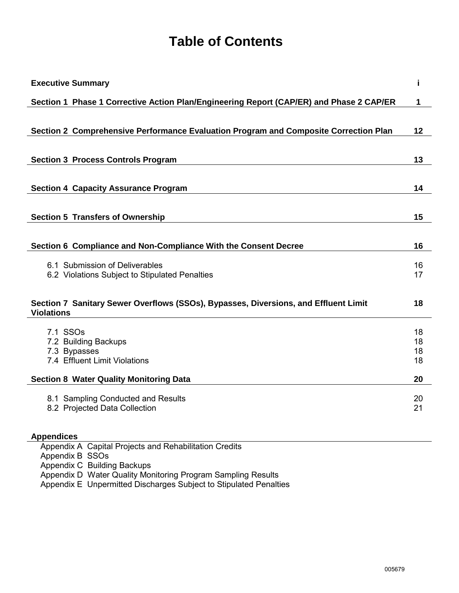# **Table of Contents**

| <b>Executive Summary</b>                                                                                 | i        |
|----------------------------------------------------------------------------------------------------------|----------|
| Section 1 Phase 1 Corrective Action Plan/Engineering Report (CAP/ER) and Phase 2 CAP/ER                  | 1        |
|                                                                                                          |          |
| Section 2 Comprehensive Performance Evaluation Program and Composite Correction Plan                     | 12       |
|                                                                                                          |          |
| <b>Section 3 Process Controls Program</b>                                                                | 13       |
| <b>Section 4 Capacity Assurance Program</b>                                                              | 14       |
| <b>Section 5 Transfers of Ownership</b>                                                                  | 15       |
|                                                                                                          |          |
| Section 6 Compliance and Non-Compliance With the Consent Decree                                          | 16       |
| 6.1 Submission of Deliverables                                                                           | 16       |
| 6.2 Violations Subject to Stipulated Penalties                                                           | 17       |
| Section 7 Sanitary Sewer Overflows (SSOs), Bypasses, Diversions, and Effluent Limit<br><b>Violations</b> | 18       |
| 7.1 SSO <sub>s</sub>                                                                                     | 18       |
| 7.2 Building Backups                                                                                     | 18       |
| 7.3 Bypasses<br>7.4 Effluent Limit Violations                                                            | 18<br>18 |
| <b>Section 8 Water Quality Monitoring Data</b>                                                           | 20       |
| 8.1 Sampling Conducted and Results                                                                       | 20       |
| 8.2 Projected Data Collection                                                                            | 21       |
| <b>Appendices</b>                                                                                        |          |
| Appendix A Capital Projects and Rehabilitation Credits<br>Appendix B SSOs                                |          |
| Appendix C Building Backups                                                                              |          |

Appendix D Water Quality Monitoring Program Sampling Results

Appendix E Unpermitted Discharges Subject to Stipulated Penalties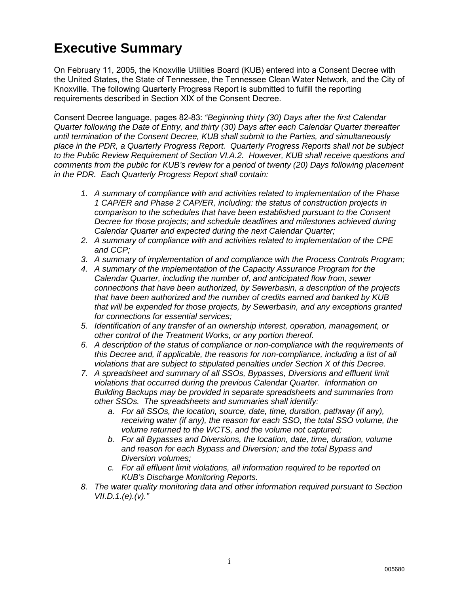## **Executive Summary**

On February 11, 2005, the Knoxville Utilities Board (KUB) entered into a Consent Decree with the United States, the State of Tennessee, the Tennessee Clean Water Network, and the City of Knoxville. The following Quarterly Progress Report is submitted to fulfill the reporting requirements described in Section XIX of the Consent Decree.

Consent Decree language, pages 82-83: *"Beginning thirty (30) Days after the first Calendar Quarter following the Date of Entry, and thirty (30) Days after each Calendar Quarter thereafter until termination of the Consent Decree, KUB shall submit to the Parties, and simultaneously place in the PDR, a Quarterly Progress Report. Quarterly Progress Reports shall not be subject to the Public Review Requirement of Section VI.A.2. However, KUB shall receive questions and comments from the public for KUB's review for a period of twenty (20) Days following placement in the PDR. Each Quarterly Progress Report shall contain:*

- *1. A summary of compliance with and activities related to implementation of the Phase 1 CAP/ER and Phase 2 CAP/ER, including: the status of construction projects in comparison to the schedules that have been established pursuant to the Consent Decree for those projects; and schedule deadlines and milestones achieved during Calendar Quarter and expected during the next Calendar Quarter;*
- *2. A summary of compliance with and activities related to implementation of the CPE and CCP;*
- *3. A summary of implementation of and compliance with the Process Controls Program;*
- *4. A summary of the implementation of the Capacity Assurance Program for the Calendar Quarter, including the number of, and anticipated flow from, sewer connections that have been authorized, by Sewerbasin, a description of the projects that have been authorized and the number of credits earned and banked by KUB that will be expended for those projects, by Sewerbasin, and any exceptions granted for connections for essential services;*
- *5. Identification of any transfer of an ownership interest, operation, management, or other control of the Treatment Works, or any portion thereof.*
- *6. A description of the status of compliance or non-compliance with the requirements of this Decree and, if applicable, the reasons for non-compliance, including a list of all violations that are subject to stipulated penalties under Section X of this Decree.*
- *7. A spreadsheet and summary of all SSOs, Bypasses, Diversions and effluent limit violations that occurred during the previous Calendar Quarter. Information on Building Backups may be provided in separate spreadsheets and summaries from other SSOs. The spreadsheets and summaries shall identify:*
	- *a. For all SSOs, the location, source, date, time, duration, pathway (if any), receiving water (if any), the reason for each SSO, the total SSO volume, the volume returned to the WCTS, and the volume not captured;*
	- *b. For all Bypasses and Diversions, the location, date, time, duration, volume and reason for each Bypass and Diversion; and the total Bypass and Diversion volumes;*
	- *c. For all effluent limit violations, all information required to be reported on KUB's Discharge Monitoring Reports.*
- *8. The water quality monitoring data and other information required pursuant to Section VII.D.1.(e).(v)."*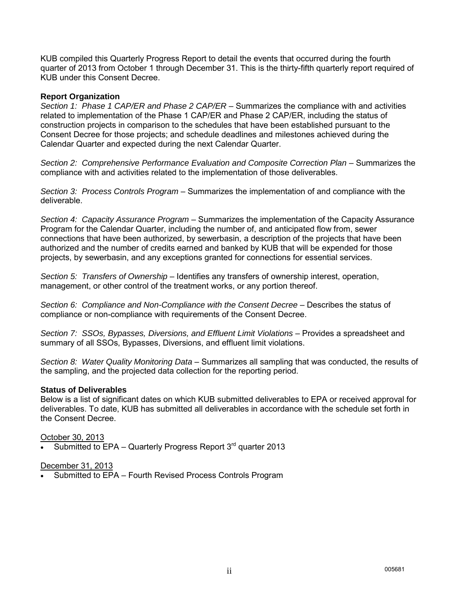KUB compiled this Quarterly Progress Report to detail the events that occurred during the fourth quarter of 2013 from October 1 through December 31. This is the thirty-fifth quarterly report required of KUB under this Consent Decree.

#### **Report Organization**

*Section 1: Phase 1 CAP/ER and Phase 2 CAP/ER* – Summarizes the compliance with and activities related to implementation of the Phase 1 CAP/ER and Phase 2 CAP/ER, including the status of construction projects in comparison to the schedules that have been established pursuant to the Consent Decree for those projects; and schedule deadlines and milestones achieved during the Calendar Quarter and expected during the next Calendar Quarter.

*Section 2: Comprehensive Performance Evaluation and Composite Correction Plan* – Summarizes the compliance with and activities related to the implementation of those deliverables.

*Section 3: Process Controls Program* – Summarizes the implementation of and compliance with the deliverable.

*Section 4: Capacity Assurance Program* – Summarizes the implementation of the Capacity Assurance Program for the Calendar Quarter, including the number of, and anticipated flow from, sewer connections that have been authorized, by sewerbasin, a description of the projects that have been authorized and the number of credits earned and banked by KUB that will be expended for those projects, by sewerbasin, and any exceptions granted for connections for essential services.

*Section 5: Transfers of Ownership* – Identifies any transfers of ownership interest, operation, management, or other control of the treatment works, or any portion thereof.

Section 6: Compliance and Non-Compliance with the Consent Decree - Describes the status of compliance or non-compliance with requirements of the Consent Decree.

*Section 7: SSOs, Bypasses, Diversions, and Effluent Limit Violations* – Provides a spreadsheet and summary of all SSOs, Bypasses, Diversions, and effluent limit violations.

*Section 8: Water Quality Monitoring Data* – Summarizes all sampling that was conducted, the results of the sampling, and the projected data collection for the reporting period.

#### **Status of Deliverables**

Below is a list of significant dates on which KUB submitted deliverables to EPA or received approval for deliverables. To date, KUB has submitted all deliverables in accordance with the schedule set forth in the Consent Decree.

#### October 30, 2013

Submitted to EPA – Quarterly Progress Report  $3<sup>rd</sup>$  quarter 2013

#### December 31, 2013

• Submitted to EPA – Fourth Revised Process Controls Program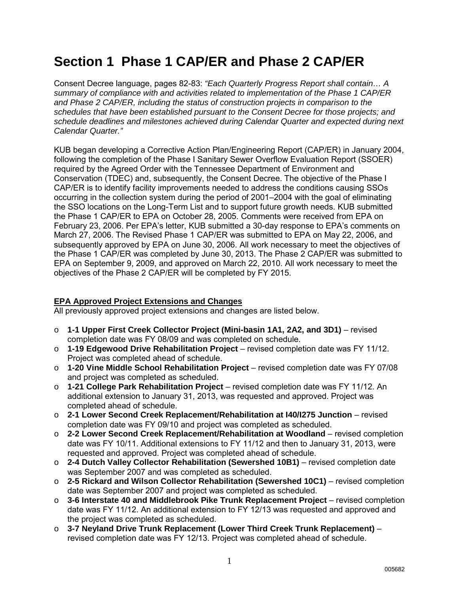## **Section 1 Phase 1 CAP/ER and Phase 2 CAP/ER**

Consent Decree language, pages 82-83: *"Each Quarterly Progress Report shall contain… A summary of compliance with and activities related to implementation of the Phase 1 CAP/ER and Phase 2 CAP/ER, including the status of construction projects in comparison to the schedules that have been established pursuant to the Consent Decree for those projects; and schedule deadlines and milestones achieved during Calendar Quarter and expected during next Calendar Quarter."*

KUB began developing a Corrective Action Plan/Engineering Report (CAP/ER) in January 2004, following the completion of the Phase I Sanitary Sewer Overflow Evaluation Report (SSOER) required by the Agreed Order with the Tennessee Department of Environment and Conservation (TDEC) and, subsequently, the Consent Decree. The objective of the Phase I CAP/ER is to identify facility improvements needed to address the conditions causing SSOs occurring in the collection system during the period of 2001–2004 with the goal of eliminating the SSO locations on the Long-Term List and to support future growth needs. KUB submitted the Phase 1 CAP/ER to EPA on October 28, 2005. Comments were received from EPA on February 23, 2006. Per EPA's letter, KUB submitted a 30-day response to EPA's comments on March 27, 2006. The Revised Phase 1 CAP/ER was submitted to EPA on May 22, 2006, and subsequently approved by EPA on June 30, 2006. All work necessary to meet the objectives of the Phase 1 CAP/ER was completed by June 30, 2013. The Phase 2 CAP/ER was submitted to EPA on September 9, 2009, and approved on March 22, 2010. All work necessary to meet the objectives of the Phase 2 CAP/ER will be completed by FY 2015.

### **EPA Approved Project Extensions and Changes**

All previously approved project extensions and changes are listed below.

- o **1-1 Upper First Creek Collector Project (Mini-basin 1A1, 2A2, and 3D1)** revised completion date was FY 08/09 and was completed on schedule.
- o **1-19 Edgewood Drive Rehabilitation Project** revised completion date was FY 11/12. Project was completed ahead of schedule.
- o **1-20 Vine Middle School Rehabilitation Project** revised completion date was FY 07/08 and project was completed as scheduled.
- o **1-21 College Park Rehabilitation Project** revised completion date was FY 11/12. An additional extension to January 31, 2013, was requested and approved. Project was completed ahead of schedule.
- o **2-1 Lower Second Creek Replacement/Rehabilitation at I40/I275 Junction** revised completion date was FY 09/10 and project was completed as scheduled.
- o **2-2 Lower Second Creek Replacement/Rehabilitation at Woodland** revised completion date was FY 10/11. Additional extensions to FY 11/12 and then to January 31, 2013, were requested and approved. Project was completed ahead of schedule.
- o **2-4 Dutch Valley Collector Rehabilitation (Sewershed 10B1)** revised completion date was September 2007 and was completed as scheduled.
- o **2-5 Rickard and Wilson Collector Rehabilitation (Sewershed 10C1)** revised completion date was September 2007 and project was completed as scheduled.
- o **3-6 Interstate 40 and Middlebrook Pike Trunk Replacement Project** revised completion date was FY 11/12. An additional extension to FY 12/13 was requested and approved and the project was completed as scheduled.
- o **3-7 Neyland Drive Trunk Replacement (Lower Third Creek Trunk Replacement)** revised completion date was FY 12/13. Project was completed ahead of schedule.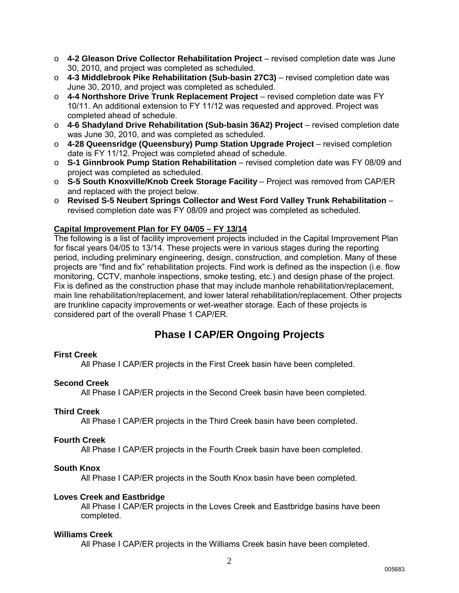- o **4-2 Gleason Drive Collector Rehabilitation Project** revised completion date was June 30, 2010, and project was completed as scheduled.
- o **4-3 Middlebrook Pike Rehabilitation (Sub-basin 27C3)** revised completion date was June 30, 2010, and project was completed as scheduled.
- o **4-4 Northshore Drive Trunk Replacement Project** revised completion date was FY 10/11. An additional extension to FY 11/12 was requested and approved. Project was completed ahead of schedule.
- o **4-6 Shadyland Drive Rehabilitation (Sub-basin 36A2) Project** revised completion date was June 30, 2010, and was completed as scheduled.
- o **4-28 Queensridge (Queensbury) Pump Station Upgrade Project** revised completion date is FY 11/12. Project was completed ahead of schedule.
- o **S-1 Ginnbrook Pump Station Rehabilitation** revised completion date was FY 08/09 and project was completed as scheduled.
- o **S-5 South Knoxville/Knob Creek Storage Facility** Project was removed from CAP/ER and replaced with the project below.
- o **Revised S-5 Neubert Springs Collector and West Ford Valley Trunk Rehabilitation** revised completion date was FY 08/09 and project was completed as scheduled.

## **Capital Improvement Plan for FY 04/05 – FY 13/14**

The following is a list of facility improvement projects included in the Capital Improvement Plan for fiscal years 04/05 to 13/14. These projects were in various stages during the reporting period, including preliminary engineering, design, construction, and completion. Many of these projects are "find and fix" rehabilitation projects. Find work is defined as the inspection (i.e. flow monitoring, CCTV, manhole inspections, smoke testing, etc.) and design phase of the project. Fix is defined as the construction phase that may include manhole rehabilitation/replacement, main line rehabilitation/replacement, and lower lateral rehabilitation/replacement. Other projects are trunkline capacity improvements or wet-weather storage. Each of these projects is considered part of the overall Phase 1 CAP/ER.

## **Phase I CAP/ER Ongoing Projects**

### **First Creek**

All Phase I CAP/ER projects in the First Creek basin have been completed.

### **Second Creek**

All Phase I CAP/ER projects in the Second Creek basin have been completed.

#### **Third Creek**

All Phase I CAP/ER projects in the Third Creek basin have been completed.

#### **Fourth Creek**

All Phase I CAP/ER projects in the Fourth Creek basin have been completed.

#### **South Knox**

All Phase I CAP/ER projects in the South Knox basin have been completed.

#### **Loves Creek and Eastbridge**

All Phase I CAP/ER projects in the Loves Creek and Eastbridge basins have been completed.

#### **Williams Creek**

All Phase I CAP/ER projects in the Williams Creek basin have been completed.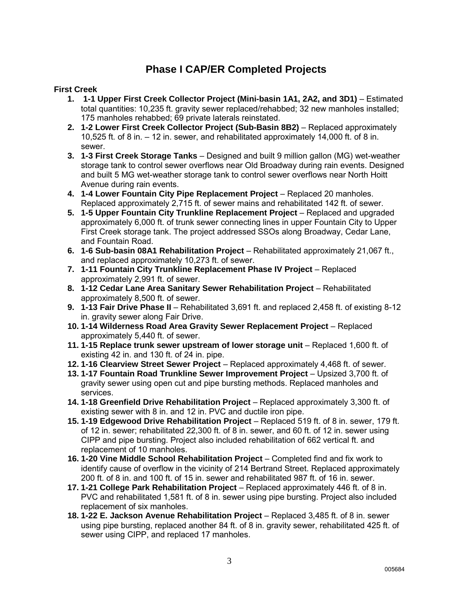## **Phase I CAP/ER Completed Projects**

## **First Creek**

- **1. 1-1 Upper First Creek Collector Project (Mini-basin 1A1, 2A2, and 3D1)** Estimated total quantities: 10,235 ft. gravity sewer replaced/rehabbed; 32 new manholes installed; 175 manholes rehabbed; 69 private laterals reinstated.
- **2. 1-2 Lower First Creek Collector Project (Sub-Basin 8B2)** Replaced approximately 10,525 ft. of 8 in. – 12 in. sewer, and rehabilitated approximately 14,000 ft. of 8 in. sewer.
- **3. 1-3 First Creek Storage Tanks** Designed and built 9 million gallon (MG) wet-weather storage tank to control sewer overflows near Old Broadway during rain events. Designed and built 5 MG wet-weather storage tank to control sewer overflows near North Hoitt Avenue during rain events.
- **4. 1-4 Lower Fountain City Pipe Replacement Project** Replaced 20 manholes. Replaced approximately 2,715 ft. of sewer mains and rehabilitated 142 ft. of sewer.
- **5. 1-5 Upper Fountain City Trunkline Replacement Project** Replaced and upgraded approximately 6,000 ft. of trunk sewer connecting lines in upper Fountain City to Upper First Creek storage tank. The project addressed SSOs along Broadway, Cedar Lane, and Fountain Road.
- **6. 1-6 Sub-basin 08A1 Rehabilitation Project** Rehabilitated approximately 21,067 ft., and replaced approximately 10,273 ft. of sewer.
- **7. 1-11 Fountain City Trunkline Replacement Phase IV Project** Replaced approximately 2,991 ft. of sewer.
- **8. 1-12 Cedar Lane Area Sanitary Sewer Rehabilitation Project** Rehabilitated approximately 8,500 ft. of sewer.
- **9. 1-13 Fair Drive Phase II** Rehabilitated 3,691 ft. and replaced 2,458 ft. of existing 8-12 in. gravity sewer along Fair Drive.
- **10. 1-14 Wilderness Road Area Gravity Sewer Replacement Project** Replaced approximately 5,440 ft. of sewer.
- **11. 1-15 Replace trunk sewer upstream of lower storage unit Replaced 1,600 ft. of** existing 42 in. and 130 ft. of 24 in. pipe.
- **12. 1-16 Clearview Street Sewer Project** Replaced approximately 4,468 ft. of sewer.
- **13. 1-17 Fountain Road Trunkline Sewer Improvement Project** Upsized 3,700 ft. of gravity sewer using open cut and pipe bursting methods. Replaced manholes and services.
- **14. 1-18 Greenfield Drive Rehabilitation Project** Replaced approximately 3,300 ft. of existing sewer with 8 in. and 12 in. PVC and ductile iron pipe.
- **15. 1-19 Edgewood Drive Rehabilitation Project** Replaced 519 ft. of 8 in. sewer, 179 ft. of 12 in. sewer; rehabilitated 22,300 ft. of 8 in. sewer, and 60 ft. of 12 in. sewer using CIPP and pipe bursting. Project also included rehabilitation of 662 vertical ft. and replacement of 10 manholes.
- **16. 1-20 Vine Middle School Rehabilitation Project** Completed find and fix work to identify cause of overflow in the vicinity of 214 Bertrand Street. Replaced approximately 200 ft. of 8 in. and 100 ft. of 15 in. sewer and rehabilitated 987 ft. of 16 in. sewer.
- **17. 1-21 College Park Rehabilitation Project** Replaced approximately 446 ft. of 8 in. PVC and rehabilitated 1,581 ft. of 8 in. sewer using pipe bursting. Project also included replacement of six manholes.
- **18. 1-22 E. Jackson Avenue Rehabilitation Project** Replaced 3,485 ft. of 8 in. sewer using pipe bursting, replaced another 84 ft. of 8 in. gravity sewer, rehabilitated 425 ft. of sewer using CIPP, and replaced 17 manholes.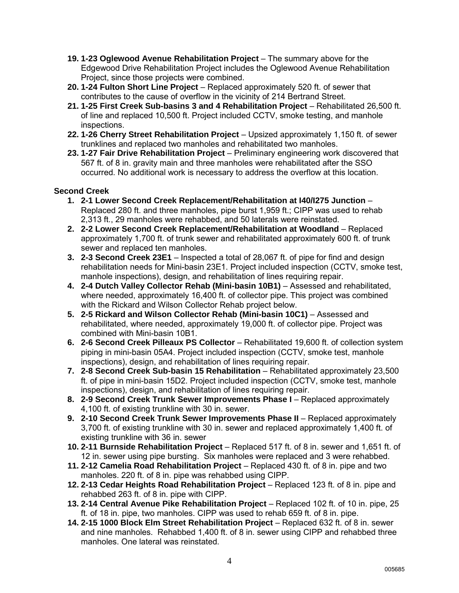- **19. 1-23 Oglewood Avenue Rehabilitation Project** The summary above for the Edgewood Drive Rehabilitation Project includes the Oglewood Avenue Rehabilitation Project, since those projects were combined.
- **20. 1-24 Fulton Short Line Project** Replaced approximately 520 ft. of sewer that contributes to the cause of overflow in the vicinity of 214 Bertrand Street.
- **21. 1-25 First Creek Sub-basins 3 and 4 Rehabilitation Project** Rehabilitated 26,500 ft. of line and replaced 10,500 ft. Project included CCTV, smoke testing, and manhole inspections.
- **22. 1-26 Cherry Street Rehabilitation Project** Upsized approximately 1,150 ft. of sewer trunklines and replaced two manholes and rehabilitated two manholes.
- **23. 1-27 Fair Drive Rehabilitation Project** Preliminary engineering work discovered that 567 ft. of 8 in. gravity main and three manholes were rehabilitated after the SSO occurred. No additional work is necessary to address the overflow at this location.

## **Second Creek**

- **1. 2-1 Lower Second Creek Replacement/Rehabilitation at I40/I275 Junction** Replaced 280 ft. and three manholes, pipe burst 1,959 ft.; CIPP was used to rehab 2,313 ft., 29 manholes were rehabbed, and 50 laterals were reinstated.
- **2. 2-2 Lower Second Creek Replacement/Rehabilitation at Woodland** Replaced approximately 1,700 ft. of trunk sewer and rehabilitated approximately 600 ft. of trunk sewer and replaced ten manholes.
- **3. 2-3 Second Creek 23E1** Inspected a total of 28,067 ft. of pipe for find and design rehabilitation needs for Mini-basin 23E1. Project included inspection (CCTV, smoke test, manhole inspections), design, and rehabilitation of lines requiring repair.
- **4. 2-4 Dutch Valley Collector Rehab (Mini-basin 10B1)** Assessed and rehabilitated, where needed, approximately 16,400 ft. of collector pipe. This project was combined with the Rickard and Wilson Collector Rehab project below.
- **5. 2-5 Rickard and Wilson Collector Rehab (Mini-basin 10C1)** Assessed and rehabilitated, where needed, approximately 19,000 ft. of collector pipe. Project was combined with Mini-basin 10B1.
- **6. 2-6 Second Creek Pilleaux PS Collector** Rehabilitated 19,600 ft. of collection system piping in mini-basin 05A4. Project included inspection (CCTV, smoke test, manhole inspections), design, and rehabilitation of lines requiring repair.
- **7. 2-8 Second Creek Sub-basin 15 Rehabilitation** Rehabilitated approximately 23,500 ft. of pipe in mini-basin 15D2. Project included inspection (CCTV, smoke test, manhole inspections), design, and rehabilitation of lines requiring repair.
- **8. 2-9 Second Creek Trunk Sewer Improvements Phase I** Replaced approximately 4,100 ft. of existing trunkline with 30 in. sewer.
- **9. 2-10 Second Creek Trunk Sewer Improvements Phase II** Replaced approximately 3,700 ft. of existing trunkline with 30 in. sewer and replaced approximately 1,400 ft. of existing trunkline with 36 in. sewer
- **10. 2-11 Burnside Rehabilitation Project** Replaced 517 ft. of 8 in. sewer and 1,651 ft. of 12 in. sewer using pipe bursting. Six manholes were replaced and 3 were rehabbed.
- **11. 2-12 Camelia Road Rehabilitation Project** Replaced 430 ft. of 8 in. pipe and two manholes. 220 ft. of 8 in. pipe was rehabbed using CIPP.
- **12. 2-13 Cedar Heights Road Rehabilitation Project**  Replaced 123 ft. of 8 in. pipe and rehabbed 263 ft. of 8 in. pipe with CIPP.
- **13. 2-14 Central Avenue Pike Rehabilitation Project**  Replaced 102 ft. of 10 in. pipe, 25 ft. of 18 in. pipe, two manholes. CIPP was used to rehab 659 ft. of 8 in. pipe.
- **14. 2-15 1000 Block Elm Street Rehabilitation Project**  Replaced 632 ft. of 8 in. sewer and nine manholes. Rehabbed 1,400 ft. of 8 in. sewer using CIPP and rehabbed three manholes. One lateral was reinstated.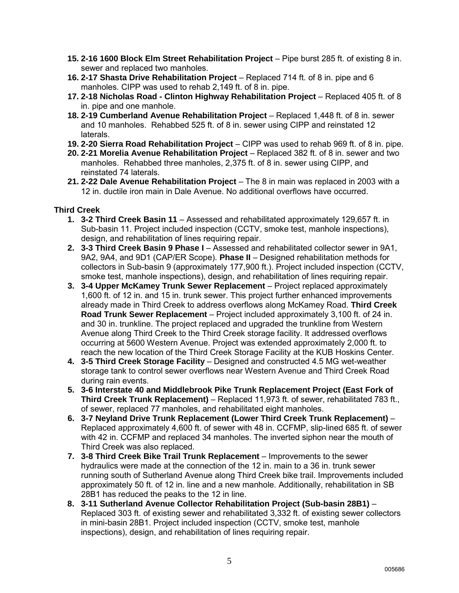- **15. 2-16 1600 Block Elm Street Rehabilitation Project**  Pipe burst 285 ft. of existing 8 in. sewer and replaced two manholes.
- **16. 2-17 Shasta Drive Rehabilitation Project**  Replaced 714 ft. of 8 in. pipe and 6 manholes. CIPP was used to rehab 2,149 ft. of 8 in. pipe.
- 17. 2-18 Nicholas Road Clinton Highway Rehabilitation Project Replaced 405 ft. of 8 in. pipe and one manhole.
- **18. 2-19 Cumberland Avenue Rehabilitation Project**  Replaced 1,448 ft. of 8 in. sewer and 10 manholes. Rehabbed 525 ft. of 8 in. sewer using CIPP and reinstated 12 laterals.
- **19. 2-20 Sierra Road Rehabilitation Project**  CIPP was used to rehab 969 ft. of 8 in. pipe.
- **20. 2-21 Morelia Avenue Rehabilitation Project** Replaced 382 ft. of 8 in. sewer and two manholes. Rehabbed three manholes, 2,375 ft. of 8 in. sewer using CIPP, and reinstated 74 laterals.
- **21. 2-22 Dale Avenue Rehabilitation Project**  The 8 in main was replaced in 2003 with a 12 in. ductile iron main in Dale Avenue. No additional overflows have occurred.

## **Third Creek**

- **1. 3-2 Third Creek Basin 11** Assessed and rehabilitated approximately 129,657 ft. in Sub-basin 11. Project included inspection (CCTV, smoke test, manhole inspections), design, and rehabilitation of lines requiring repair.
- **2. 3-3 Third Creek Basin 9 Phase I** Assessed and rehabilitated collector sewer in 9A1, 9A2, 9A4, and 9D1 (CAP/ER Scope). **Phase II** – Designed rehabilitation methods for collectors in Sub-basin 9 (approximately 177,900 ft.). Project included inspection (CCTV, smoke test, manhole inspections), design, and rehabilitation of lines requiring repair.
- **3. 3-4 Upper McKamey Trunk Sewer Replacement** Project replaced approximately 1,600 ft. of 12 in. and 15 in. trunk sewer. This project further enhanced improvements already made in Third Creek to address overflows along McKamey Road. **Third Creek Road Trunk Sewer Replacement** – Project included approximately 3,100 ft. of 24 in. and 30 in. trunkline. The project replaced and upgraded the trunkline from Western Avenue along Third Creek to the Third Creek storage facility. It addressed overflows occurring at 5600 Western Avenue. Project was extended approximately 2,000 ft. to reach the new location of the Third Creek Storage Facility at the KUB Hoskins Center.
- **4. 3-5 Third Creek Storage Facility** Designed and constructed 4.5 MG wet-weather storage tank to control sewer overflows near Western Avenue and Third Creek Road during rain events.
- **5. 3-6 Interstate 40 and Middlebrook Pike Trunk Replacement Project (East Fork of Third Creek Trunk Replacement)** – Replaced 11,973 ft. of sewer, rehabilitated 783 ft., of sewer, replaced 77 manholes, and rehabilitated eight manholes.
- **6. 3-7 Neyland Drive Trunk Replacement (Lower Third Creek Trunk Replacement)** Replaced approximately 4,600 ft. of sewer with 48 in. CCFMP, slip-lined 685 ft. of sewer with 42 in. CCFMP and replaced 34 manholes. The inverted siphon near the mouth of Third Creek was also replaced.
- **7. 3-8 Third Creek Bike Trail Trunk Replacement** Improvements to the sewer hydraulics were made at the connection of the 12 in. main to a 36 in. trunk sewer running south of Sutherland Avenue along Third Creek bike trail. Improvements included approximately 50 ft. of 12 in. line and a new manhole. Additionally, rehabilitation in SB 28B1 has reduced the peaks to the 12 in line.
- **8. 3-11 Sutherland Avenue Collector Rehabilitation Project (Sub-basin 28B1)** Replaced 303 ft. of existing sewer and rehabilitated 3,332 ft. of existing sewer collectors in mini-basin 28B1. Project included inspection (CCTV, smoke test, manhole inspections), design, and rehabilitation of lines requiring repair.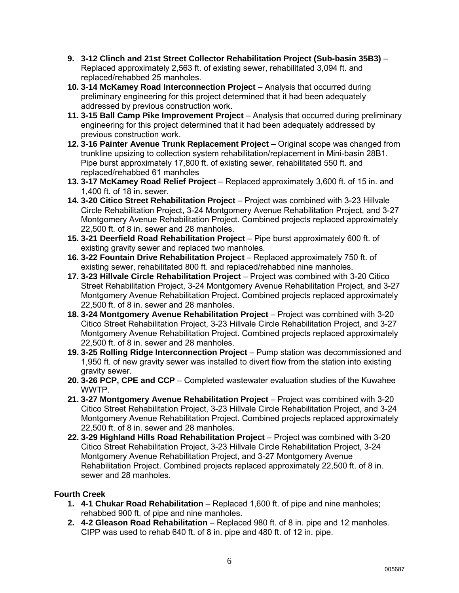- **9. 3-12 Clinch and 21st Street Collector Rehabilitation Project (Sub-basin 35B3)** Replaced approximately 2,563 ft. of existing sewer, rehabilitated 3,094 ft. and replaced/rehabbed 25 manholes.
- **10. 3-14 McKamey Road Interconnection Project** Analysis that occurred during preliminary engineering for this project determined that it had been adequately addressed by previous construction work.
- **11. 3-15 Ball Camp Pike Improvement Project** Analysis that occurred during preliminary engineering for this project determined that it had been adequately addressed by previous construction work.
- **12. 3-16 Painter Avenue Trunk Replacement Project** Original scope was changed from trunkline upsizing to collection system rehabilitation/replacement in Mini-basin 28B1. Pipe burst approximately 17,800 ft. of existing sewer, rehabilitated 550 ft. and replaced/rehabbed 61 manholes
- **13. 3-17 McKamey Road Relief Project** Replaced approximately 3,600 ft. of 15 in. and 1,400 ft. of 18 in. sewer.
- **14. 3-20 Citico Street Rehabilitation Project** Project was combined with 3-23 Hillvale Circle Rehabilitation Project, 3-24 Montgomery Avenue Rehabilitation Project, and 3-27 Montgomery Avenue Rehabilitation Project. Combined projects replaced approximately 22,500 ft. of 8 in. sewer and 28 manholes.
- **15. 3-21 Deerfield Road Rehabilitation Project** Pipe burst approximately 600 ft. of existing gravity sewer and replaced two manholes.
- **16. 3-22 Fountain Drive Rehabilitation Project** Replaced approximately 750 ft. of existing sewer, rehabilitated 800 ft. and replaced/rehabbed nine manholes.
- **17. 3-23 Hillvale Circle Rehabilitation Project** Project was combined with 3-20 Citico Street Rehabilitation Project, 3-24 Montgomery Avenue Rehabilitation Project, and 3-27 Montgomery Avenue Rehabilitation Project. Combined projects replaced approximately 22,500 ft. of 8 in. sewer and 28 manholes.
- **18. 3-24 Montgomery Avenue Rehabilitation Project**  Project was combined with 3-20 Citico Street Rehabilitation Project, 3-23 Hillvale Circle Rehabilitation Project, and 3-27 Montgomery Avenue Rehabilitation Project. Combined projects replaced approximately 22,500 ft. of 8 in. sewer and 28 manholes.
- **19. 3-25 Rolling Ridge Interconnection Project** Pump station was decommissioned and 1,950 ft. of new gravity sewer was installed to divert flow from the station into existing gravity sewer.
- **20. 3-26 PCP, CPE and CCP** Completed wastewater evaluation studies of the Kuwahee WWTP.
- **21. 3-27 Montgomery Avenue Rehabilitation Project** Project was combined with 3-20 Citico Street Rehabilitation Project, 3-23 Hillvale Circle Rehabilitation Project, and 3-24 Montgomery Avenue Rehabilitation Project. Combined projects replaced approximately 22,500 ft. of 8 in. sewer and 28 manholes.
- **22. 3-29 Highland Hills Road Rehabilitation Project** Project was combined with 3-20 Citico Street Rehabilitation Project, 3-23 Hillvale Circle Rehabilitation Project, 3-24 Montgomery Avenue Rehabilitation Project, and 3-27 Montgomery Avenue Rehabilitation Project. Combined projects replaced approximately 22,500 ft. of 8 in. sewer and 28 manholes.

## **Fourth Creek**

- **1. 4-1 Chukar Road Rehabilitation** Replaced 1,600 ft. of pipe and nine manholes; rehabbed 900 ft. of pipe and nine manholes.
- **2. 4-2 Gleason Road Rehabilitation** Replaced 980 ft. of 8 in. pipe and 12 manholes. CIPP was used to rehab 640 ft. of 8 in. pipe and 480 ft. of 12 in. pipe.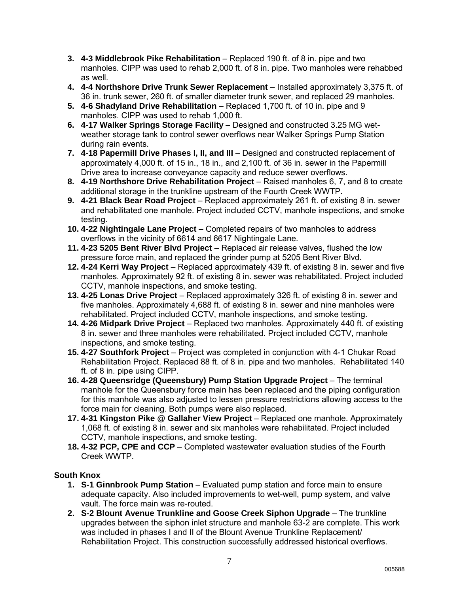- **3. 4-3 Middlebrook Pike Rehabilitation** Replaced 190 ft. of 8 in. pipe and two manholes. CIPP was used to rehab 2,000 ft. of 8 in. pipe. Two manholes were rehabbed as well.
- **4. 4-4 Northshore Drive Trunk Sewer Replacement** Installed approximately 3,375 ft. of 36 in. trunk sewer, 260 ft. of smaller diameter trunk sewer, and replaced 29 manholes.
- **5. 4-6 Shadyland Drive Rehabilitation** Replaced 1,700 ft. of 10 in. pipe and 9 manholes. CIPP was used to rehab 1,000 ft.
- **6. 4-17 Walker Springs Storage Facility** Designed and constructed 3.25 MG wetweather storage tank to control sewer overflows near Walker Springs Pump Station during rain events.
- **7. 4-18 Papermill Drive Phases I, II, and III** Designed and constructed replacement of approximately 4,000 ft. of 15 in., 18 in., and 2,100 ft. of 36 in. sewer in the Papermill Drive area to increase conveyance capacity and reduce sewer overflows.
- **8. 4-19 Northshore Drive Rehabilitation Project** Raised manholes 6, 7, and 8 to create additional storage in the trunkline upstream of the Fourth Creek WWTP.
- **9. 4-21 Black Bear Road Project** Replaced approximately 261 ft. of existing 8 in. sewer and rehabilitated one manhole. Project included CCTV, manhole inspections, and smoke testing.
- **10. 4-22 Nightingale Lane Project** Completed repairs of two manholes to address overflows in the vicinity of 6614 and 6617 Nightingale Lane.
- **11. 4-23 5205 Bent River Blvd Project** Replaced air release valves, flushed the low pressure force main, and replaced the grinder pump at 5205 Bent River Blvd.
- **12. 4-24 Kerri Way Project** Replaced approximately 439 ft. of existing 8 in. sewer and five manholes. Approximately 92 ft. of existing 8 in. sewer was rehabilitated. Project included CCTV, manhole inspections, and smoke testing.
- **13. 4-25 Lonas Drive Project** Replaced approximately 326 ft. of existing 8 in. sewer and five manholes. Approximately 4,688 ft. of existing 8 in. sewer and nine manholes were rehabilitated. Project included CCTV, manhole inspections, and smoke testing.
- **14. 4-26 Midpark Drive Project** Replaced two manholes. Approximately 440 ft. of existing 8 in. sewer and three manholes were rehabilitated. Project included CCTV, manhole inspections, and smoke testing.
- **15. 4-27 Southfork Project** Project was completed in conjunction with 4-1 Chukar Road Rehabilitation Project. Replaced 88 ft. of 8 in. pipe and two manholes. Rehabilitated 140 ft. of 8 in. pipe using CIPP.
- **16. 4-28 Queensridge (Queensbury) Pump Station Upgrade Project** The terminal manhole for the Queensbury force main has been replaced and the piping configuration for this manhole was also adjusted to lessen pressure restrictions allowing access to the force main for cleaning. Both pumps were also replaced.
- **17. 4-31 Kingston Pike @ Gallaher View Project** Replaced one manhole. Approximately 1,068 ft. of existing 8 in. sewer and six manholes were rehabilitated. Project included CCTV, manhole inspections, and smoke testing.
- **18. 4-32 PCP, CPE and CCP** Completed wastewater evaluation studies of the Fourth Creek WWTP.

## **South Knox**

- **1. S-1 Ginnbrook Pump Station** Evaluated pump station and force main to ensure adequate capacity. Also included improvements to wet-well, pump system, and valve vault. The force main was re-routed.
- **2. S-2 Blount Avenue Trunkline and Goose Creek Siphon Upgrade** The trunkline upgrades between the siphon inlet structure and manhole 63-2 are complete. This work was included in phases I and II of the Blount Avenue Trunkline Replacement/ Rehabilitation Project. This construction successfully addressed historical overflows.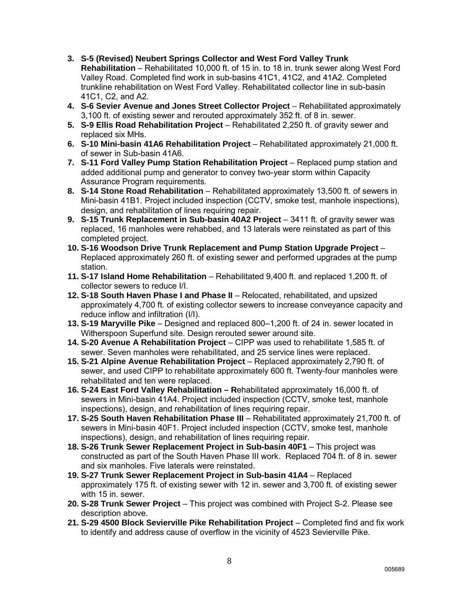- **3. S-5 (Revised) Neubert Springs Collector and West Ford Valley Trunk Rehabilitation** – Rehabilitated 10,000 ft. of 15 in. to 18 in. trunk sewer along West Ford Valley Road. Completed find work in sub-basins 41C1, 41C2, and 41A2. Completed trunkline rehabilitation on West Ford Valley. Rehabilitated collector line in sub-basin 41C1, C2, and A2.
- **4. S-6 Sevier Avenue and Jones Street Collector Project** Rehabilitated approximately 3,100 ft. of existing sewer and rerouted approximately 352 ft. of 8 in. sewer.
- **5. S-9 Ellis Road Rehabilitation Project** Rehabilitated 2,250 ft. of gravity sewer and replaced six MHs.
- **6. S-10 Mini-basin 41A6 Rehabilitation Project** Rehabilitated approximately 21,000 ft. of sewer in Sub-basin 41A6.
- **7. S-11 Ford Valley Pump Station Rehabilitation Project** Replaced pump station and added additional pump and generator to convey two-year storm within Capacity Assurance Program requirements.
- **8. S-14 Stone Road Rehabilitation** Rehabilitated approximately 13,500 ft. of sewers in Mini-basin 41B1. Project included inspection (CCTV, smoke test, manhole inspections), design, and rehabilitation of lines requiring repair.
- **9. S-15 Trunk Replacement in Sub-basin 40A2 Project** 3411 ft. of gravity sewer was replaced, 16 manholes were rehabbed, and 13 laterals were reinstated as part of this completed project.
- **10. S-16 Woodson Drive Trunk Replacement and Pump Station Upgrade Project** Replaced approximately 260 ft. of existing sewer and performed upgrades at the pump station.
- **11. S-17 Island Home Rehabilitation** Rehabilitated 9,400 ft. and replaced 1,200 ft. of collector sewers to reduce I/I.
- **12. S-18 South Haven Phase I and Phase II** Relocated, rehabilitated, and upsized approximately 4,700 ft. of existing collector sewers to increase conveyance capacity and reduce inflow and infiltration (I/I).
- **13. S-19 Maryville Pike** Designed and replaced 800–1,200 ft. of 24 in. sewer located in Witherspoon Superfund site. Design rerouted sewer around site.
- **14. S-20 Avenue A Rehabilitation Project** CIPP was used to rehabilitate 1,585 ft. of sewer. Seven manholes were rehabilitated, and 25 service lines were replaced.
- **15. S-21 Alpine Avenue Rehabilitation Project** Replaced approximately 2,790 ft. of sewer, and used CIPP to rehabilitate approximately 600 ft. Twenty-four manholes were rehabilitated and ten were replaced.
- **16. S-24 East Ford Valley Rehabilitation R**ehabilitated approximately 16,000 ft. of sewers in Mini-basin 41A4. Project included inspection (CCTV, smoke test, manhole inspections), design, and rehabilitat**i**on of lines requiring repair.
- **17. S-25 South Haven Rehabilitation Phase III** Rehabilitated approximately 21,700 ft. of sewers in Mini-basin 40F1. Project included inspection (CCTV, smoke test, manhole inspections), design, and rehabilitation of lines requiring repair.
- **18. S-26 Trunk Sewer Replacement Project in Sub-basin 40F1** This project was constructed as part of the South Haven Phase III work. Replaced 704 ft. of 8 in. sewer and six manholes. Five laterals were reinstated.
- **19. S-27 Trunk Sewer Replacement Project in Sub-basin 41A4** Replaced approximately 175 ft. of existing sewer with 12 in. sewer and 3,700 ft. of existing sewer with 15 in. sewer.
- **20. S-28 Trunk Sewer Project** This project was combined with Project S-2. Please see description above.
- **21. S-29 4500 Block Sevierville Pike Rehabilitation Project** Completed find and fix work to identify and address cause of overflow in the vicinity of 4523 Sevierville Pike.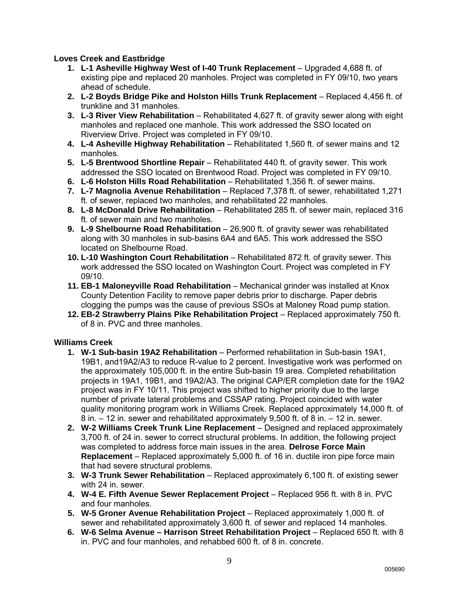## **Loves Creek and Eastbridge**

- **1. L-1 Asheville Highway West of I-40 Trunk Replacement Upgraded 4,688 ft. of** existing pipe and replaced 20 manholes. Project was completed in FY 09/10, two years ahead of schedule.
- **2. L-2 Boyds Bridge Pike and Holston Hills Trunk Replacement** Replaced 4,456 ft. of trunkline and 31 manholes.
- **3. L-3 River View Rehabilitation** Rehabilitated 4,627 ft. of gravity sewer along with eight manholes and replaced one manhole. This work addressed the SSO located on Riverview Drive. Project was completed in FY 09/10.
- **4. L-4 Asheville Highway Rehabilitation** Rehabilitated 1,560 ft. of sewer mains and 12 manholes.
- **5. L-5 Brentwood Shortline Repair** Rehabilitated 440 ft. of gravity sewer. This work addressed the SSO located on Brentwood Road. Project was completed in FY 09/10.
- **6. L-6 Holston Hills Road Rehabilitation** Rehabilitated 1,356 ft. of sewer mains.
- **7. L-7 Magnolia Avenue Rehabilitation**  Replaced 7,378 ft. of sewer, rehabilitated 1,271 ft. of sewer, replaced two manholes, and rehabilitated 22 manholes.
- **8. L-8 McDonald Drive Rehabilitation** Rehabilitated 285 ft. of sewer main, replaced 316 ft. of sewer main and two manholes.
- **9. L-9 Shelbourne Road Rehabilitation** 26,900 ft. of gravity sewer was rehabilitated along with 30 manholes in sub-basins 6A4 and 6A5. This work addressed the SSO located on Shelbourne Road.
- **10. L-10 Washington Court Rehabilitation**  Rehabilitated 872 ft. of gravity sewer. This work addressed the SSO located on Washington Court. Project was completed in FY 09/10.
- **11. EB-1 Maloneyville Road Rehabilitation** Mechanical grinder was installed at Knox County Detention Facility to remove paper debris prior to discharge. Paper debris clogging the pumps was the cause of previous SSOs at Maloney Road pump station.
- **12. EB-2 Strawberry Plains Pike Rehabilitation Project** Replaced approximately 750 ft. of 8 in. PVC and three manholes.

## **Williams Creek**

- **1. W-1 Sub-basin 19A2 Rehabilitation** Performed rehabilitation in Sub-basin 19A1, 19B1, and19A2/A3 to reduce R-value to 2 percent. Investigative work was performed on the approximately 105,000 ft. in the entire Sub-basin 19 area. Completed rehabilitation projects in 19A1, 19B1, and 19A2/A3. The original CAP/ER completion date for the 19A2 project was in FY 10/11. This project was shifted to higher priority due to the large number of private lateral problems and CSSAP rating. Project coincided with water quality monitoring program work in Williams Creek. Replaced approximately 14,000 ft. of 8 in. – 12 in. sewer and rehabilitated approximately 9,500 ft. of 8 in. – 12 in. sewer.
- **2. W-2 Williams Creek Trunk Line Replacement** Designed and replaced approximately 3,700 ft. of 24 in. sewer to correct structural problems. In addition, the following project was completed to address force main issues in the area. **Delrose Force Main Replacement** – Replaced approximately 5,000 ft. of 16 in. ductile iron pipe force main that had severe structural problems.
- **3. W-3 Trunk Sewer Rehabilitation** Replaced approximately 6,100 ft. of existing sewer with 24 in. sewer.
- **4. W-4 E. Fifth Avenue Sewer Replacement Project** Replaced 956 ft. with 8 in. PVC and four manholes.
- **5. W-5 Groner Avenue Rehabilitation Project** Replaced approximately 1,000 ft. of sewer and rehabilitated approximately 3,600 ft. of sewer and replaced 14 manholes.
- **6. W-6 Selma Avenue Harrison Street Rehabilitation Project** Replaced 650 ft. with 8 in. PVC and four manholes, and rehabbed 600 ft. of 8 in. concrete.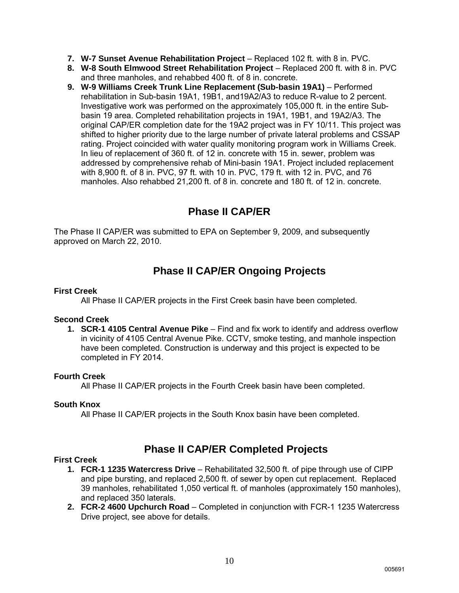- **7. W-7 Sunset Avenue Rehabilitation Project** Replaced 102 ft. with 8 in. PVC.
- **8. W-8 South Elmwood Street Rehabilitation Project** Replaced 200 ft. with 8 in. PVC and three manholes, and rehabbed 400 ft. of 8 in. concrete.
- **9. W-9 Williams Creek Trunk Line Replacement (Sub-basin 19A1)** Performed rehabilitation in Sub-basin 19A1, 19B1, and19A2/A3 to reduce R-value to 2 percent. Investigative work was performed on the approximately 105,000 ft. in the entire Subbasin 19 area. Completed rehabilitation projects in 19A1, 19B1, and 19A2/A3. The original CAP/ER completion date for the 19A2 project was in FY 10/11. This project was shifted to higher priority due to the large number of private lateral problems and CSSAP rating. Project coincided with water quality monitoring program work in Williams Creek. In lieu of replacement of 360 ft. of 12 in. concrete with 15 in. sewer, problem was addressed by comprehensive rehab of Mini-basin 19A1. Project included replacement with 8,900 ft. of 8 in. PVC, 97 ft. with 10 in. PVC, 179 ft. with 12 in. PVC, and 76 manholes. Also rehabbed 21,200 ft. of 8 in. concrete and 180 ft. of 12 in. concrete.

## **Phase II CAP/ER**

The Phase II CAP/ER was submitted to EPA on September 9, 2009, and subsequently approved on March 22, 2010.

## **Phase II CAP/ER Ongoing Projects**

### **First Creek**

All Phase II CAP/ER projects in the First Creek basin have been completed.

### **Second Creek**

**1. SCR-1 4105 Central Avenue Pike** – Find and fix work to identify and address overflow in vicinity of 4105 Central Avenue Pike. CCTV, smoke testing, and manhole inspection have been completed. Construction is underway and this project is expected to be completed in FY 2014.

#### **Fourth Creek**

All Phase II CAP/ER projects in the Fourth Creek basin have been completed.

#### **South Knox**

All Phase II CAP/ER projects in the South Knox basin have been completed.

## **Phase II CAP/ER Completed Projects**

#### **First Creek**

- **1. FCR-1 1235 Watercress Drive**  Rehabilitated 32,500 ft. of pipe through use of CIPP and pipe bursting, and replaced 2,500 ft. of sewer by open cut replacement. Replaced 39 manholes, rehabilitated 1,050 vertical ft. of manholes (approximately 150 manholes), and replaced 350 laterals.
- **2. FCR-2 4600 Upchurch Road** Completed in conjunction with FCR-1 1235 Watercress Drive project, see above for details.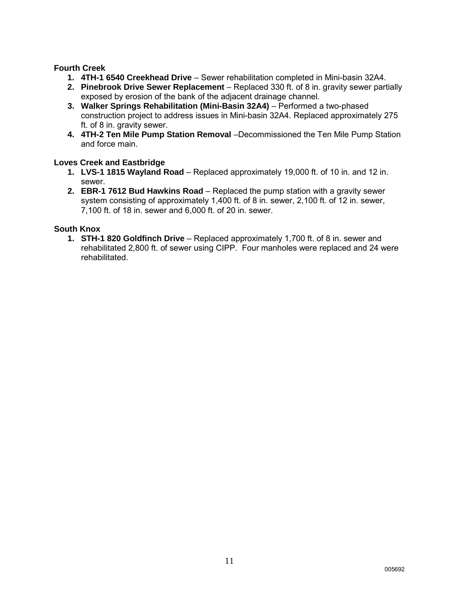### **Fourth Creek**

- **1. 4TH-1 6540 Creekhead Drive** Sewer rehabilitation completed in Mini-basin 32A4.
- **2. Pinebrook Drive Sewer Replacement** Replaced 330 ft. of 8 in. gravity sewer partially exposed by erosion of the bank of the adjacent drainage channel.
- **3. Walker Springs Rehabilitation (Mini-Basin 32A4)** Performed a two-phased construction project to address issues in Mini-basin 32A4. Replaced approximately 275 ft. of 8 in. gravity sewer.
- **4. 4TH-2 Ten Mile Pump Station Removal** –Decommissioned the Ten Mile Pump Station and force main.

### **Loves Creek and Eastbridge**

- **1. LVS-1 1815 Wayland Road**  Replaced approximately 19,000 ft. of 10 in. and 12 in. sewer.
- **2. EBR-1 7612 Bud Hawkins Road** Replaced the pump station with a gravity sewer system consisting of approximately 1,400 ft. of 8 in. sewer, 2,100 ft. of 12 in. sewer, 7,100 ft. of 18 in. sewer and 6,000 ft. of 20 in. sewer.

## **South Knox**

**1. STH-1 820 Goldfinch Drive** – Replaced approximately 1,700 ft. of 8 in. sewer and rehabilitated 2,800 ft. of sewer using CIPP. Four manholes were replaced and 24 were rehabilitated.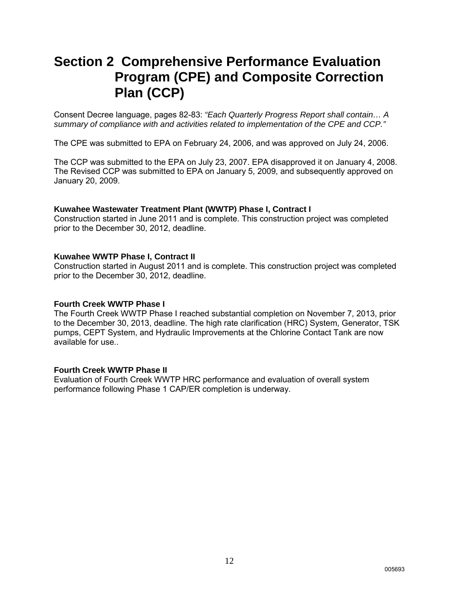## **Section 2 Comprehensive Performance Evaluation Program (CPE) and Composite Correction Plan (CCP)**

Consent Decree language, pages 82-83: *"Each Quarterly Progress Report shall contain… A summary of compliance with and activities related to implementation of the CPE and CCP."*

The CPE was submitted to EPA on February 24, 2006, and was approved on July 24, 2006.

The CCP was submitted to the EPA on July 23, 2007. EPA disapproved it on January 4, 2008. The Revised CCP was submitted to EPA on January 5, 2009, and subsequently approved on January 20, 2009.

#### **Kuwahee Wastewater Treatment Plant (WWTP) Phase I, Contract I**

Construction started in June 2011 and is complete. This construction project was completed prior to the December 30, 2012, deadline.

#### **Kuwahee WWTP Phase I, Contract II**

Construction started in August 2011 and is complete. This construction project was completed prior to the December 30, 2012, deadline.

#### **Fourth Creek WWTP Phase I**

The Fourth Creek WWTP Phase I reached substantial completion on November 7, 2013, prior to the December 30, 2013, deadline. The high rate clarification (HRC) System, Generator, TSK pumps, CEPT System, and Hydraulic Improvements at the Chlorine Contact Tank are now available for use..

#### **Fourth Creek WWTP Phase II**

Evaluation of Fourth Creek WWTP HRC performance and evaluation of overall system performance following Phase 1 CAP/ER completion is underway.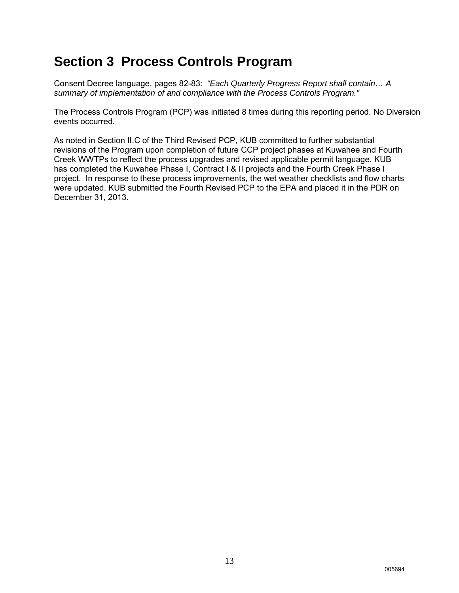## **Section 3 Process Controls Program**

Consent Decree language, pages 82-83: *"Each Quarterly Progress Report shall contain… A summary of implementation of and compliance with the Process Controls Program."*

The Process Controls Program (PCP) was initiated 8 times during this reporting period. No Diversion events occurred.

As noted in Section II.C of the Third Revised PCP, KUB committed to further substantial revisions of the Program upon completion of future CCP project phases at Kuwahee and Fourth Creek WWTPs to reflect the process upgrades and revised applicable permit language. KUB has completed the Kuwahee Phase I, Contract I & II projects and the Fourth Creek Phase I project. In response to these process improvements, the wet weather checklists and flow charts were updated. KUB submitted the Fourth Revised PCP to the EPA and placed it in the PDR on December 31, 2013.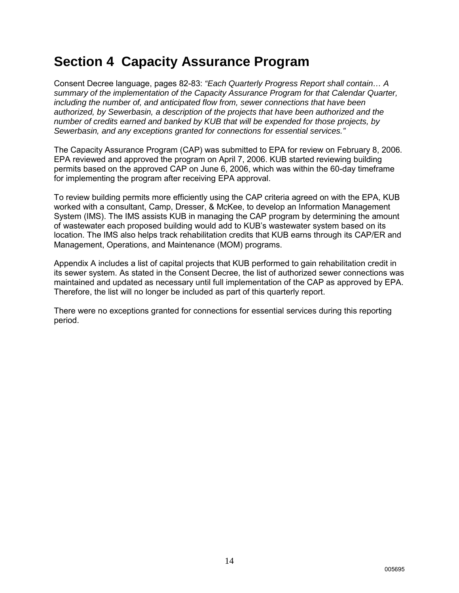## **Section 4 Capacity Assurance Program**

Consent Decree language, pages 82-83: *"Each Quarterly Progress Report shall contain… A summary of the implementation of the Capacity Assurance Program for that Calendar Quarter, including the number of, and anticipated flow from, sewer connections that have been authorized, by Sewerbasin, a description of the projects that have been authorized and the number of credits earned and banked by KUB that will be expended for those projects, by Sewerbasin, and any exceptions granted for connections for essential services."*

The Capacity Assurance Program (CAP) was submitted to EPA for review on February 8, 2006. EPA reviewed and approved the program on April 7, 2006. KUB started reviewing building permits based on the approved CAP on June 6, 2006, which was within the 60-day timeframe for implementing the program after receiving EPA approval.

To review building permits more efficiently using the CAP criteria agreed on with the EPA, KUB worked with a consultant, Camp, Dresser, & McKee, to develop an Information Management System (IMS). The IMS assists KUB in managing the CAP program by determining the amount of wastewater each proposed building would add to KUB's wastewater system based on its location. The IMS also helps track rehabilitation credits that KUB earns through its CAP/ER and Management, Operations, and Maintenance (MOM) programs.

Appendix A includes a list of capital projects that KUB performed to gain rehabilitation credit in its sewer system. As stated in the Consent Decree, the list of authorized sewer connections was maintained and updated as necessary until full implementation of the CAP as approved by EPA. Therefore, the list will no longer be included as part of this quarterly report.

There were no exceptions granted for connections for essential services during this reporting period.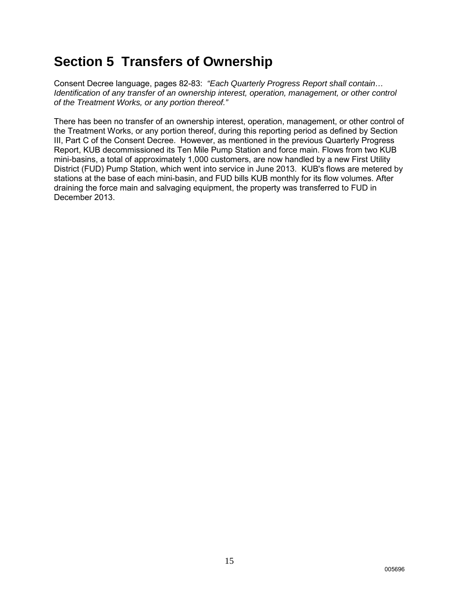## **Section 5 Transfers of Ownership**

Consent Decree language, pages 82-83: *"Each Quarterly Progress Report shall contain… Identification of any transfer of an ownership interest, operation, management, or other control of the Treatment Works, or any portion thereof."*

There has been no transfer of an ownership interest, operation, management, or other control of the Treatment Works, or any portion thereof, during this reporting period as defined by Section III, Part C of the Consent Decree. However, as mentioned in the previous Quarterly Progress Report, KUB decommissioned its Ten Mile Pump Station and force main. Flows from two KUB mini-basins, a total of approximately 1,000 customers, are now handled by a new First Utility District (FUD) Pump Station, which went into service in June 2013. KUB's flows are metered by stations at the base of each mini-basin, and FUD bills KUB monthly for its flow volumes. After draining the force main and salvaging equipment, the property was transferred to FUD in December 2013.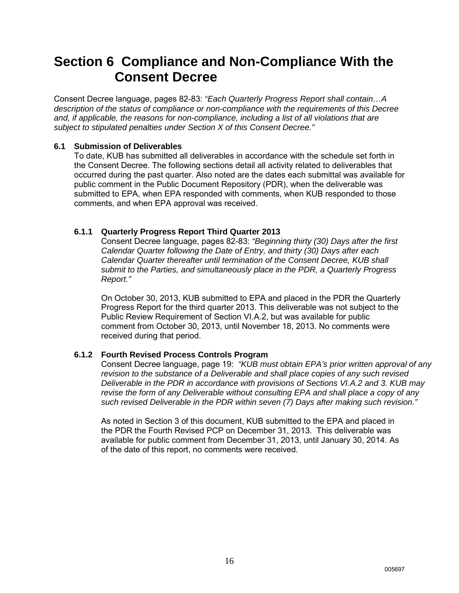## **Section 6 Compliance and Non-Compliance With the Consent Decree**

Consent Decree language, pages 82-83: *"Each Quarterly Progress Report shall contain…A description of the status of compliance or non-compliance with the requirements of this Decree and, if applicable, the reasons for non-compliance, including a list of all violations that are subject to stipulated penalties under Section X of this Consent Decree."*

### **6.1 Submission of Deliverables**

To date, KUB has submitted all deliverables in accordance with the schedule set forth in the Consent Decree. The following sections detail all activity related to deliverables that occurred during the past quarter. Also noted are the dates each submittal was available for public comment in the Public Document Repository (PDR), when the deliverable was submitted to EPA, when EPA responded with comments, when KUB responded to those comments, and when EPA approval was received.

## **6.1.1 Quarterly Progress Report Third Quarter 2013**

Consent Decree language, pages 82-83: *"Beginning thirty (30) Days after the first Calendar Quarter following the Date of Entry, and thirty (30) Days after each Calendar Quarter thereafter until termination of the Consent Decree, KUB shall submit to the Parties, and simultaneously place in the PDR, a Quarterly Progress Report."*

On October 30, 2013, KUB submitted to EPA and placed in the PDR the Quarterly Progress Report for the third quarter 2013. This deliverable was not subject to the Public Review Requirement of Section VI.A.2, but was available for public comment from October 30, 2013, until November 18, 2013. No comments were received during that period.

## **6.1.2 Fourth Revised Process Controls Program**

Consent Decree language, page 19: *"KUB must obtain EPA's prior written approval of any revision to the substance of a Deliverable and shall place copies of any such revised Deliverable in the PDR in accordance with provisions of Sections VI.A.2 and 3. KUB may revise the form of any Deliverable without consulting EPA and shall place a copy of any such revised Deliverable in the PDR within seven (7) Days after making such revision."*

As noted in Section 3 of this document, KUB submitted to the EPA and placed in the PDR the Fourth Revised PCP on December 31, 2013. This deliverable was available for public comment from December 31, 2013, until January 30, 2014. As of the date of this report, no comments were received.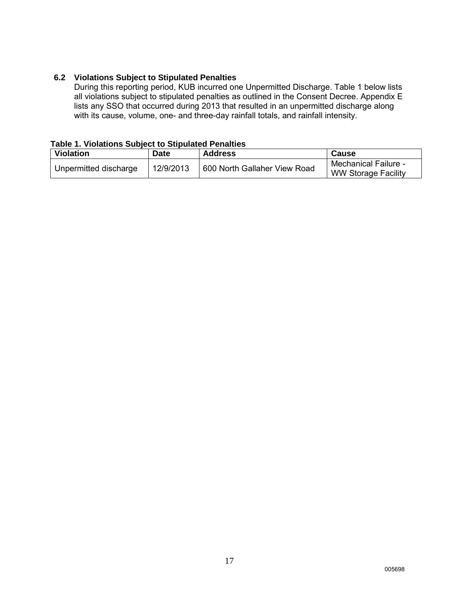## **6.2 Violations Subject to Stipulated Penalties**

During this reporting period, KUB incurred one Unpermitted Discharge. Table 1 below lists all violations subject to stipulated penalties as outlined in the Consent Decree. Appendix E lists any SSO that occurred during 2013 that resulted in an unpermitted discharge along with its cause, volume, one- and three-day rainfall totals, and rainfall intensity.

### **Table 1. Violations Subject to Stipulated Penalties**

| Violation             | <b>Date</b> | <b>Address</b>               | Cause                                                     |
|-----------------------|-------------|------------------------------|-----------------------------------------------------------|
| Unpermitted discharge | 12/9/2013   | 600 North Gallaher View Road | <b>Mechanical Failure -</b><br><b>WW Storage Facility</b> |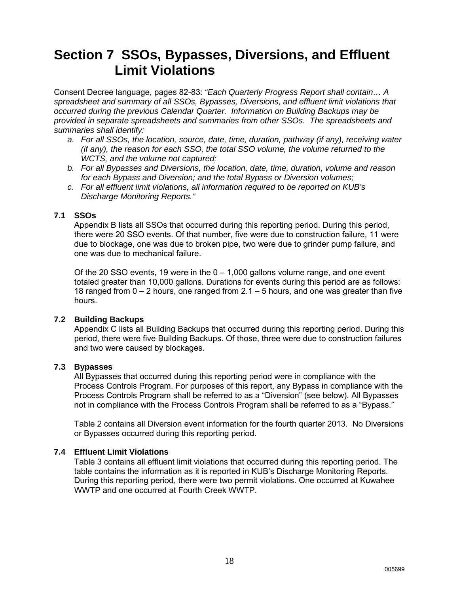## **Section 7 SSOs, Bypasses, Diversions, and Effluent Limit Violations**

Consent Decree language, pages 82-83: *"Each Quarterly Progress Report shall contain… A spreadsheet and summary of all SSOs, Bypasses, Diversions, and effluent limit violations that occurred during the previous Calendar Quarter. Information on Building Backups may be provided in separate spreadsheets and summaries from other SSOs. The spreadsheets and summaries shall identify:* 

- *a. For all SSOs, the location, source, date, time, duration, pathway (if any), receiving water (if any), the reason for each SSO, the total SSO volume, the volume returned to the WCTS, and the volume not captured;*
- *b. For all Bypasses and Diversions, the location, date, time, duration, volume and reason for each Bypass and Diversion; and the total Bypass or Diversion volumes;*
- *c. For all effluent limit violations, all information required to be reported on KUB's Discharge Monitoring Reports."*

### **7.1 SSOs**

Appendix B lists all SSOs that occurred during this reporting period. During this period, there were 20 SSO events. Of that number, five were due to construction failure, 11 were due to blockage, one was due to broken pipe, two were due to grinder pump failure, and one was due to mechanical failure.

Of the 20 SSO events, 19 were in the  $0 - 1,000$  gallons volume range, and one event totaled greater than 10,000 gallons. Durations for events during this period are as follows: 18 ranged from 0 – 2 hours, one ranged from 2.1 – 5 hours, and one was greater than five hours.

### **7.2 Building Backups**

Appendix C lists all Building Backups that occurred during this reporting period. During this period, there were five Building Backups. Of those, three were due to construction failures and two were caused by blockages.

### **7.3 Bypasses**

All Bypasses that occurred during this reporting period were in compliance with the Process Controls Program. For purposes of this report, any Bypass in compliance with the Process Controls Program shall be referred to as a "Diversion" (see below). All Bypasses not in compliance with the Process Controls Program shall be referred to as a "Bypass."

Table 2 contains all Diversion event information for the fourth quarter 2013. No Diversions or Bypasses occurred during this reporting period.

### **7.4 Effluent Limit Violations**

Table 3 contains all effluent limit violations that occurred during this reporting period. The table contains the information as it is reported in KUB's Discharge Monitoring Reports. During this reporting period, there were two permit violations. One occurred at Kuwahee WWTP and one occurred at Fourth Creek WWTP.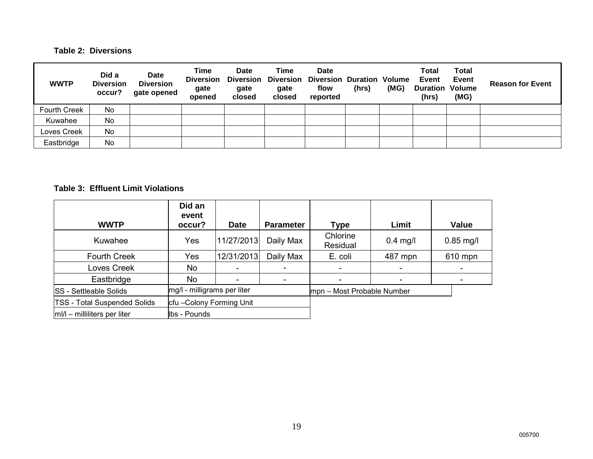## **Table 2: Diversions**

| <b>WWTP</b>         | Did a<br><b>Diversion</b><br>occur? | <b>Date</b><br><b>Diversion</b><br>gate opened | Time<br><b>Diversion</b><br>gate<br>opened | Date<br><b>Diversion</b><br>gate<br>closed | Time<br><b>Diversion</b><br>gate<br>closed | Date<br><b>Diversion Duration Volume</b><br>flow<br>reported | (hrs) | (MG) | Total<br>Event<br><b>Duration Volume</b><br>(hrs) | <b>Total</b><br>Event<br>(MG) | <b>Reason for Event</b> |
|---------------------|-------------------------------------|------------------------------------------------|--------------------------------------------|--------------------------------------------|--------------------------------------------|--------------------------------------------------------------|-------|------|---------------------------------------------------|-------------------------------|-------------------------|
| <b>Fourth Creek</b> | <b>No</b>                           |                                                |                                            |                                            |                                            |                                                              |       |      |                                                   |                               |                         |
| Kuwahee             | No                                  |                                                |                                            |                                            |                                            |                                                              |       |      |                                                   |                               |                         |
| Loves Creek         | No                                  |                                                |                                            |                                            |                                            |                                                              |       |      |                                                   |                               |                         |
| Eastbridge          | No                                  |                                                |                                            |                                            |                                            |                                                              |       |      |                                                   |                               |                         |

## **Table 3: Effluent Limit Violations**

| <b>WWTP</b>                         | Did an<br>event<br>occur?   | <b>Date</b> | <b>Parameter</b> | Type                       | Limit      | Value       |
|-------------------------------------|-----------------------------|-------------|------------------|----------------------------|------------|-------------|
| Kuwahee                             | Yes                         | 11/27/2013  | Daily Max        | Chlorine<br>Residual       | $0.4$ mg/l | $0.85$ mg/l |
| <b>Fourth Creek</b>                 | Yes                         | 12/31/2013  | Daily Max        | E. coli                    | 487 mpn    | 610 mpn     |
| Loves Creek                         | No                          |             |                  |                            |            |             |
| Eastbridge                          | No                          |             |                  |                            |            |             |
| <b>SS</b> - Settleable Solids       | mg/l - milligrams per liter |             |                  | mpn – Most Probable Number |            |             |
| <b>TSS - Total Suspended Solids</b> | cfu-Colony Forming Unit     |             |                  |                            |            |             |
| $ m /l$ – milliliters per liter     | Ibs - Pounds                |             |                  |                            |            |             |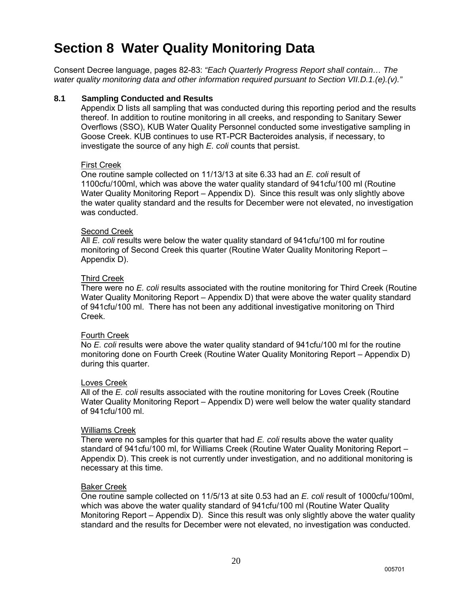## **Section 8 Water Quality Monitoring Data**

Consent Decree language, pages 82-83: *"Each Quarterly Progress Report shall contain… The water quality monitoring data and other information required pursuant to Section VII.D.1.(e).(v)."*

### **8.1 Sampling Conducted and Results**

Appendix D lists all sampling that was conducted during this reporting period and the results thereof. In addition to routine monitoring in all creeks, and responding to Sanitary Sewer Overflows (SSO), KUB Water Quality Personnel conducted some investigative sampling in Goose Creek. KUB continues to use RT-PCR Bacteroides analysis, if necessary, to investigate the source of any high *E. coli* counts that persist.

#### First Creek

One routine sample collected on 11/13/13 at site 6.33 had an *E. coli* result of 1100cfu/100ml, which was above the water quality standard of 941cfu/100 ml (Routine Water Quality Monitoring Report – Appendix D). Since this result was only slightly above the water quality standard and the results for December were not elevated, no investigation was conducted.

#### Second Creek

All *E. coli* results were below the water quality standard of 941cfu/100 ml for routine monitoring of Second Creek this quarter (Routine Water Quality Monitoring Report – Appendix D).

#### Third Creek

There were no *E. coli* results associated with the routine monitoring for Third Creek (Routine Water Quality Monitoring Report – Appendix D) that were above the water quality standard of 941cfu/100 ml. There has not been any additional investigative monitoring on Third Creek.

### Fourth Creek

No *E. coli* results were above the water quality standard of 941cfu/100 ml for the routine monitoring done on Fourth Creek (Routine Water Quality Monitoring Report – Appendix D) during this quarter.

#### Loves Creek

All of the *E. coli* results associated with the routine monitoring for Loves Creek (Routine Water Quality Monitoring Report – Appendix D) were well below the water quality standard of 941cfu/100 ml.

#### Williams Creek

There were no samples for this quarter that had *E. coli* results above the water quality standard of 941cfu/100 ml, for Williams Creek (Routine Water Quality Monitoring Report – Appendix D). This creek is not currently under investigation, and no additional monitoring is necessary at this time.

#### Baker Creek

One routine sample collected on 11/5/13 at site 0.53 had an *E. coli* result of 1000cfu/100ml, which was above the water quality standard of 941cfu/100 ml (Routine Water Quality Monitoring Report – Appendix D). Since this result was only slightly above the water quality standard and the results for December were not elevated, no investigation was conducted.

20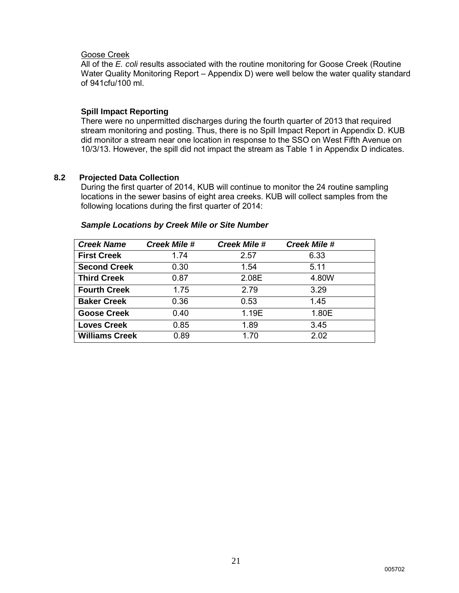#### Goose Creek

All of the *E. coli* results associated with the routine monitoring for Goose Creek (Routine Water Quality Monitoring Report – Appendix D) were well below the water quality standard of 941cfu/100 ml.

#### **Spill Impact Reporting**

There were no unpermitted discharges during the fourth quarter of 2013 that required stream monitoring and posting. Thus, there is no Spill Impact Report in Appendix D. KUB did monitor a stream near one location in response to the SSO on West Fifth Avenue on 10/3/13. However, the spill did not impact the stream as Table 1 in Appendix D indicates.

#### **8.2 Projected Data Collection**

During the first quarter of 2014, KUB will continue to monitor the 24 routine sampling locations in the sewer basins of eight area creeks. KUB will collect samples from the following locations during the first quarter of 2014:

| <b>Sample Locations by Creek Mile or Site Number</b> |  |  |
|------------------------------------------------------|--|--|
|------------------------------------------------------|--|--|

| <b>Creek Name</b>     | <b>Creek Mile #</b> | <b>Creek Mile #</b> | <b>Creek Mile #</b> |
|-----------------------|---------------------|---------------------|---------------------|
| <b>First Creek</b>    | 1.74                | 2.57                | 6.33                |
| <b>Second Creek</b>   | 0.30                | 1.54                | 5.11                |
| <b>Third Creek</b>    | 0.87                | 2.08E               | 4.80W               |
| <b>Fourth Creek</b>   | 1.75                | 2.79                | 3.29                |
| <b>Baker Creek</b>    | 0.36                | 0.53                | 1.45                |
| <b>Goose Creek</b>    | 0.40                | 1.19E               | 1.80E               |
| <b>Loves Creek</b>    | 0.85                | 1.89                | 3.45                |
| <b>Williams Creek</b> | 0.89                | 1.70                | 2.02                |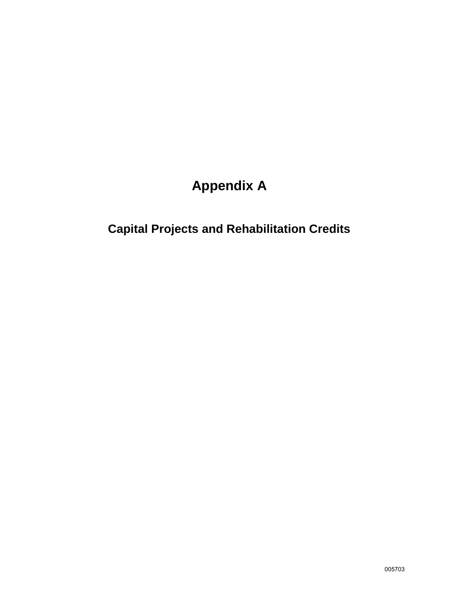# **Appendix A**

# **Capital Projects and Rehabilitation Credits**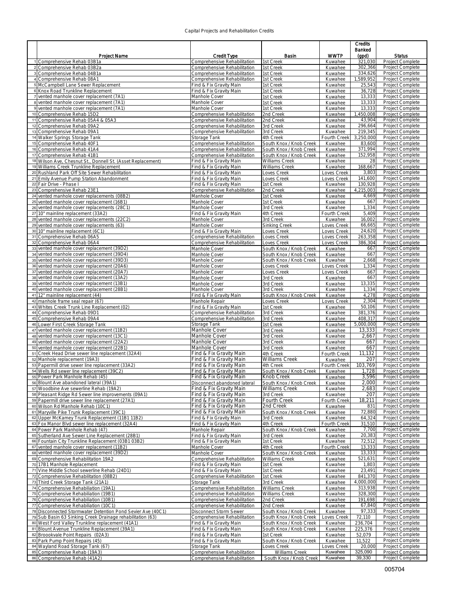#### Capital Projects and Rehabilitation Credits

|                                                                                                      |                                                              |                                        | <b>Credits</b>                 |                     |                                      |
|------------------------------------------------------------------------------------------------------|--------------------------------------------------------------|----------------------------------------|--------------------------------|---------------------|--------------------------------------|
|                                                                                                      |                                                              |                                        |                                | Banked              |                                      |
| <b>Project Name</b>                                                                                  | <b>Credit Type</b>                                           | Basin                                  | <b>WWTP</b>                    | (gpd)               | <b>Status</b>                        |
| 1 Comprehensive Rehab 03B1a<br>2 Comprehensive Rehab 03B2a                                           | Comprehensive Rehabilitation<br>Comprehensive Rehabilitation | 1st Creek<br>1st Creek                 | Kuwahee<br>Kuwahee             | 321,030<br>302,366  | Project Complete<br>Project Complete |
| 3 Comprehensive Rehab 04B1a                                                                          | Comprehensive Rehabilitation                                 | 1st Creek                              | Kuwahee                        | 334,626             | Project Complete                     |
| 4 Comprehensive Rehab 08A1                                                                           | Comprehensive Rehabilitation                                 | 1st Creek                              | Kuwahee                        | 1,589,952           | Project Complete                     |
| 5 McCampbell Lane Sewer Replacement                                                                  | Find & Fix Gravity Main                                      | 1st Creek                              | Kuwahee                        | 25,543              | Project Complete                     |
| 6 Knox Road Trunkline Replacement                                                                    | Find & Fix Gravity Main                                      | 1st Creek                              | Kuwahee                        | 36,728              | Project Complete                     |
| 7 vented manhole cover replacement (7A1)                                                             | Manhole Cover<br>Manhole Cover                               | 1st Creek                              | Kuwahee                        | 13,333              | Project Complete                     |
| 8 vented manhole cover replacement (7A1)<br>9 vented manhole cover replacement (7A1)                 | Manhole Cover                                                | 1st Creek<br>1st Creek                 | Kuwahee<br>Kuwahee             | 13,333<br>13,333    | Project Complete<br>Project Complete |
| 10 Comprehensive Rehab 15D2                                                                          | Comprehensive Rehabilitation                                 | 2nd Creek                              | Kuwahee                        | 1,450,008           | Project Complete                     |
| 11 Comprehensive Rehab 05A4 & 05A3                                                                   | Comprehensive Rehabilitation                                 | 2nd Creek                              | Kuwahee                        | 43,904              | Project Complete                     |
| 12 Comprehensive Rehab 09A2                                                                          | Comprehensive Rehabilitation                                 | 3rd Creek                              | Kuwahee                        | 296,664             | Project Complete                     |
| 13 Comprehensive Rehab 09A1                                                                          | Comprehensive Rehabilitation                                 | 3rd Creek                              | Kuwahee                        | 219,345             | Project Complete                     |
| 14 Walker Springs Storage Tank<br>15 Comprehensive Rehab 40F1                                        | Storage Tank<br>Comprehensive Rehabilitation                 | 4th Creek<br>South Knox / Knob Creek   | Fourth Creek<br>Kuwahee        | 3,250,000<br>83,600 | Project Complete<br>Project Complete |
| 16 Comprehensive Rehab 41A4                                                                          | Comprehensive Rehabilitation                                 | South Knox / Knob Creek                | Kuwahee                        | 371,994             | Project Complete                     |
| 17 Comprehensive Rehab 41B1                                                                          | Comprehensive Rehabilitation                                 | South Knox / Knob Creek                | Kuwahee                        | 152,958             | Project Complete                     |
| 18 Wilson Ave, Chesnut St., Donnell St. (Asset Replacement)                                          | Find & Fix Gravity Main                                      | <b>Williams Creek</b>                  | Kuwahee                        | 28                  | Project Complete                     |
| 19 Williams Creek Trunkline Replacement<br>20 Rushland Park Off Site Sewer Rehabilitation            | Find & Fix Gravity Main                                      | Williams Creek                         | Kuwahee                        | 168,667<br>3,803    | Project Complete<br>Project Complete |
| 21 Emily Avenue Pump Station Abandonment                                                             | Find & Fix Gravity Main<br>Find & Fix Gravity Main           | Loves Creek<br>Loves Creek             | Loves Creek<br>Loves Creek     | 141,600             | Project Complete                     |
| 22 Fair Drive - Phase I                                                                              | Find & Fix Gravity Main                                      | 1st Creek                              | Kuwahee                        | 130,928             | Project Complete                     |
| 23 Comprehensive Rehab 23E1                                                                          | Comprehensive Rehabilitation                                 | 2nd Creek                              | Kuwahee                        | 4,215,003           | Project Complete                     |
| 24 vented manhole cover replacements (08B2)                                                          | Manhole Cover                                                | 1st Creek                              | Kuwahee                        | 4,669               | Project Complete                     |
| 25 vented manhole cover replacement (16B1)                                                           | Manhole Cover                                                | 1st Creek                              | Kuwahee                        | 667<br>1,334        | Project Complete                     |
| 26 vented manhole cover replacements (28C1)<br>27 10" mainline replacement (33A2)                    | Manhole Cover<br>Find & Fix Gravity Main                     | 3rd Creek<br>4th Creek                 | Kuwahee<br><b>Fourth Creek</b> | 5,409               | Project Complete<br>Project Complete |
| 28 vented manhole cover replacements (22C2)                                                          | Manhole Cover                                                | 3rd Creek                              | Kuwahee                        | 16,002              | Project Complete                     |
| 29 vented manhole cover replacements (63)                                                            | Manhole Cover                                                | Sinking Creek                          | Loves Creek                    | 66,665              | Project Complete                     |
| 30 10" mainline replacement (6C1)                                                                    | Find & Fix Gravity Main                                      | Loves Creek                            | Loves Creek                    | 24,620              | Project Complete                     |
| 31 Comprehensive Rehab 06A5<br>32 Comprehensive Rehab 06A4                                           | Comprehensive Rehabilitation<br>Comprehensive Rehabilitation | Loves Creek<br>Loves Creek             | Loves Creek<br>Loves Creek     | 263,358<br>386,304  | Project Complete<br>Project Complete |
| 33 vented manhole cover replacement (39D2)                                                           | Manhole Cover                                                | South Knox / Knob Creek                | Kuwahee                        | 667                 | Project Complete                     |
| 34 vented manhole cover replacement (39D4)                                                           | Manhole Cover                                                | South Knox / Knob Creek                | Kuwahee                        | 667                 | Project Complete                     |
| 35 vented manhole cover replacement (39D3)                                                           | Manhole Cover                                                | South Knox / Knob Creek                | Kuwahee                        | 2,668               | Project Complete                     |
| 36 vented manhole cover replacement (20A6)                                                           | Manhole Cover                                                | Loves Creek                            | <b>Loves Creek</b>             | 1,334               | Project Complete                     |
| 37 vented manhole cover replacement (20A7)                                                           | Manhole Cover<br>Manhole Cover                               | Loves Creek<br>3rd Creek               | Loves Creek<br>Kuwahee         | 667<br>667          | Project Complete<br>Project Complete |
| 38 vented manhole cover replacement (13A2)<br>39 vented manhole cover replacement (13B1)             | Manhole Cover                                                | 3rd Creek                              | Kuwahee                        | 13,335              | Project Complete                     |
| 40 vented manhole cover replacement (28B1)                                                           | Manhole Cover                                                | 3rd Creek                              | Kuwahee                        | 1,334               | Project Complete                     |
| 41 12" mainline replacement (44)                                                                     | Find & Fix Gravity Main                                      | South Knox / Knob Creek                | Kuwahee                        | 4,278               | Project Complete                     |
| 42 manhole frame seal repair (67)                                                                    | Manhole Repair                                               | Loves Creek                            | oves Creek                     | 2,304               | Project Complete                     |
| 43 Whites Creek Trunk Line Replacement (02)<br>44 Comprehensive Rehab 09D1                           | Find & Fix Gravity Main<br>Comprehensive Rehabilitation      | 1st Creek<br>3rd Creek                 | Kuwahee<br>Kuwahee             | 50,106<br>381,376   | Project Complete<br>Project Complete |
| 45 Comprehensive Rehab 09A4                                                                          | Comprehensive Rehabilitation                                 | 3rd Creek                              | Kuwahee                        | 408,317             | Project Complete                     |
| 46 Lower First Creek Storage Tank                                                                    | Storage Tank                                                 | 1st Creek                              | Kuwahee                        | 5,000,000           | Project Complete                     |
| 47 vented manhole cover replacement (11B2)                                                           | Manhole Cover                                                | 3rd Creek                              | Kuwahee                        | 13,333              | Project Complete                     |
| 48 vented manhole cover replacement (13C1)                                                           | Manhole Cover                                                | 3rd Creek                              | Kuwahee                        | 2,667               | Project Complete                     |
| 49 vented manhole cover replacement (22A2)<br>50 vented manhole cover replacement (22B1)             | Manhole Cover<br>Manhole Cover                               | 3rd Creek<br>3rd Creek                 | Kuwahee<br>Kuwahee             | 667<br>667          | Project Complete<br>Project Complete |
| 51 Creek Head Drive sewer line replacement (32A4)                                                    | Find & Fix Gravity Main                                      | 4th Creek                              | <b>Fourth Creek</b>            | 11,132              | Project Complete                     |
| 52 Manhole replacement (19A3)                                                                        | Find & Fix Gravity Main                                      | Williams Creek                         | Kuwahee                        | 207                 | Project Complete                     |
| 53 Papermill drive sewer line replacement (33A2)                                                     | Find & Fix Gravity Main                                      | 4th Creek                              | <b>Fourth Creek</b>            | 103,769             | Project Complete                     |
| 54 Wells Rd sewer line replacement (39C2)<br>55 Power Park Manhole Rehab (45)                        | Find & Fix Gravity Main                                      | South Knox / Knob Creek                | Kuwahee                        | 1,728               | Project Complete                     |
| 56 Blount Ave abandoned lateral (39A1)                                                               | Find & Fix Gravity Main<br>Disconnect abandoned lateral      | Knob Creek<br>South Knox / Knob Creek  | Kuwahee<br>Kuwahee             | 3,596<br>2,000      | Project Complete<br>Project Complete |
| 57 Woodbine Ave sewerline Rehab (19A2)                                                               | Find & Fix Gravity Main                                      | Williams Creek                         | Kuwahee                        | 2,683               | Project Complete                     |
| 58 Pleasant Ridge Rd Sewer line improvements (09A1)                                                  | Find & Fix Gravity Main                                      | 3rd Creek                              | Kuwahee                        | 207                 | Project Complete                     |
| 59 Papermill drive sewer line replacement (27A1)                                                     | Find & Fix Gravity Main                                      | Fourth Creek                           | Fourth Creek                   | 18,211              | Project Complete                     |
| 60 Wilson Rd Manhole Rehab (10C1)<br>61 Maryville Pike Trunk Replacement (39C1)                      | Find & Fix Gravity Main<br>Find & Fix Gravity Main           | 2nd Creek<br>South Knox / Knob Creek   | Kuwahee<br>Kuwahee             | 831<br>72,880       | Project Complete<br>Project Complete |
| 62 Upper McKamey Trunk Replacement (11B1 11B2)                                                       | Find & Fix Gravity Main                                      | 3rd Creek                              | Kuwahee                        | 64,324              | Project Complete                     |
| 63 Fox Manor Blvd sewer line replacement (32A4)                                                      | Find & Fix Gravity Main                                      | 4th Creek                              | Fourth Creek                   | 31,510              | Project Complete                     |
| 64 Power Park Manhole Rehab (47)                                                                     | Manhole Repair                                               | South Knox / Knob Creek                | Kuwahee                        | 7,700               | Project Complete                     |
| 65 Sutherland Ave Sewer Line Replacement (28B1)                                                      | Find & Fix Gravity Main                                      | 3rd Creek                              | Kuwahee                        | 20,383<br>72,512    | Project Complete                     |
| 66 Fountain City Trunkline Replacement (03B1 03B2)<br>67 vented manhole cover replacement (11B2)     | Find & Fix Gravity Main<br>Manhole Cover                     | 1st Creek<br>4th Creek                 | Kuwahee<br>Fourth Creek        | 13,333              | Project Complete<br>Project Complete |
| 68 vented manhole cover replacement (39D2)                                                           | Manhole Cover                                                | South Knox / Knob Creek                | Kuwahee                        | 13,333              | Project Complete                     |
| 69 Comprehensive Rehabilitation 19A2                                                                 | Comprehensive Rehabilitation                                 | Williams Creek                         | Kuwahee                        | 521,631             | Project Complete                     |
| 70 17B1 Manhole Replacement                                                                          | Find & Fix Gravity Main                                      | 1st Creek                              | Kuwahee                        | 1,803               | Project Complete                     |
| 71 Vine Middle School sewerline Rehab (24D1)<br>72 Comprehensive Rehabilitation (08B2)               | Find & Fix Gravity Main<br>Comprehensive Rehabilitation      | 1st Creek<br>1st Creek                 | Kuwahee<br>Kuwahee             | 23,491<br>841,370   | Project Complete<br>Project Complete |
| 73 Third Creek Storage Tank (21A1)                                                                   | Storage Tank                                                 | 3rd Creek                              | Kuwahee                        | 4,000,000           | Project Complete                     |
| 74 Comprehensive Rehabiliation (19A1)                                                                | Comprehensive Rehabilitation                                 | Williams Creek                         | Kuwahee                        | 313,938             | Project Complete                     |
| 75 Comprehensive Rehabiliation (19B1)                                                                | Comprehensive Rehabilitation                                 | Williams Creek                         | Kuwahee                        | 328,300             | Project Complete                     |
| 76 Comprehensive Rehabiliation (10B1)                                                                | Comprehensive Rehabilitation                                 | 2nd Creek                              | Kuwahee                        | 191,698             | Project Complete                     |
| 77 Comprehensive Rehabiliation (10C1)<br>78 Disconnected Stormwater Detention Pond Sevier Ave (40C1) | Comprehensive Rehabilitation<br>Disconnect Storm Sewer       | 2nd Creek<br>South Knox / Knob Creek   | Kuwahee<br>Kuwahee             | 67,840<br>97,333    | Project Complete<br>Project Complete |
| 79 Sub Basin 63 Sinking Creek Drainage rehabilitation (63)                                           | Comprehensive Rehabilitation                                 | South Knox / Knob Creek                | Loves Creek                    | 72,110              | Project Complete                     |
| 80 West Ford Valley Trunkline replacement (41A1)                                                     | Find & Fix Gravity Main                                      | South Knox / Knob Creek                | Kuwahee                        | 236,704             | Project Complete                     |
| 81 Blount Avenue Trunkline Replacement (39A1)                                                        | Find & Fix Gravity Main                                      | South Knox / Knob Creek                | Kuwahee                        | 225,376             | Project Complete                     |
| 82 Broookvale Point Repairs (02A3)                                                                   | Find & Fix Gravity Main                                      | 1st Creek                              | Kuwahee                        | 52,079              | Project Complete                     |
| 83 Park Pump Point Repairs (45)<br>84 Wayland Road Storage Tank (67)                                 | Find & Fix Gravity Main<br>Storage Tank                      | South Knox / Knob Creek<br>Loves Creek | Kuwahee<br>oves Creek          | 11,522<br>20,000    | Project Complete<br>Project Complete |
| 85 Comprehensive Rehab (19A3)                                                                        | Comprehensive Rehabilitation                                 | Williams Creek                         | Kuwahee                        | 325,090             | Project Complete                     |
| 86 Comprehensive Rehab (41A2)                                                                        | Comprehensive Rehabilitation                                 | South Knox / Knob Creek                | Kuwahee                        | 39,330              | Project Complete                     |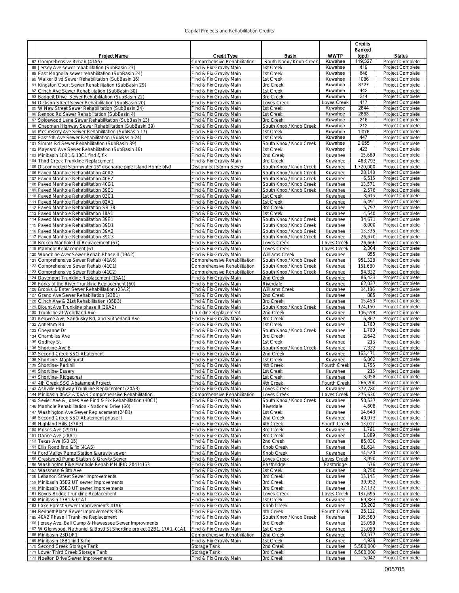#### Capital Projects and Rehabilitation Credits

|                                                                                                                 |                                                    |                                      | <b>Credits</b>          |                    |                                      |
|-----------------------------------------------------------------------------------------------------------------|----------------------------------------------------|--------------------------------------|-------------------------|--------------------|--------------------------------------|
|                                                                                                                 |                                                    |                                      |                         | Banked             |                                      |
| Project Name                                                                                                    | <b>Credit Type</b>                                 | <b>Basin</b>                         | <b>WWTP</b>             | (gpd)              | <b>Status</b>                        |
| 87 Comprehensive Rehab (41A5)                                                                                   | Comprehensive Rehabilitation                       | South Knox / Knob Creek              | Kuwahee                 | 119,327            | Project Complete                     |
| 88 Jersey Ave sewer rehabilitation (SubBasin 23)                                                                | Find & Fix Gravity Main                            | 1st Creek                            | Kuwahee                 | 419                | Project Complete                     |
| 89 East Magnolia sewer rehabilitation (SubBasin 24)                                                             | Find & Fix Gravity Main                            | 1st Creek                            | Kuwahee                 | 846                | Project Complete                     |
| 90 Walker Blvd Sewer Rehabilitation (SubBasin 16)                                                               | Find & Fix Gravity Main                            | 1st Creek                            | Kuwahee                 | 1086               | Project Complete                     |
| 91 Kingston Court Sewer Rehabilitation (SubBasin 29)                                                            | Find & Fix Gravity Main                            | 3rd Creek                            | Kuwahee                 | 3727               | Project Complete                     |
| 92 Clinch Ave Sewer Rehabilitation (SubBasin 30)                                                                | Find & Fix Gravity Main                            | 1st Creek                            | Kuwahee                 | 442                | Project Complete                     |
| 93 Badgett Drive Sewer Rehabilitation (SubBasin 22)                                                             | Find & Fix Gravity Main                            | 3rd Creek                            | Kuwahee                 | 214                | Project Complete                     |
| 94 Dickson Street Sewer Rehabilitation (SubBasin 20)<br>95 W New Street Sewer Rehabilitation (SubBasin 24)      | Find & Fix Gravity Main                            | Loves Creek<br>1st Creek             | _oves Creek<br>Kuwahee  | 417<br>2844        | Project Complete<br>Project Complete |
| 96 Rennoc Rd Sewer Rehabilitation (SubBasin 4)                                                                  | Find & Fix Gravity Main<br>Find & Fix Gravity Main | 1st Creek                            | Kuwahee                 | 2853               | Project Complete                     |
| 97 Spicewood Lane Sewer Rehabilitation (SubBasin 13)                                                            | Find & Fix Gravity Main                            | 3rd Creek                            | Kuwahee                 | 216                | Project Complete                     |
| 98 Chapman Highway Sewer Rehabilitation (SubBasin 39)                                                           | Find & Fix Gravity Main                            | South Knox / Knob Creek              | Kuwahee                 | 212                | Project Complete                     |
| 99 McCroskey Ave Sewer Rehabilitation (SubBasin 17)                                                             | Find & Fix Gravity Main                            | 1st Creek                            | Kuwahee                 | 1,076              | Project Complete                     |
| 100 East 5th Ave Sewer Rehabilitation (SubBasin 24)                                                             | Find & Fix Gravity Main                            | 1st Creek                            | Kuwahee                 | 447                | Project Complete                     |
| 101 Simms Rd Sewer Rehabilitation (SubBasin 39)                                                                 | Find & Fix Gravity Main                            | South Knox / Knob Creek              | Kuwahee                 | 2,955              | Project Complete                     |
| 102 Maynard Ave Sewer Rehabilitation (SubBasin 16)                                                              | Find & Fix Gravity Main                            | 1st Creek                            | Kuwahee                 | 423                | Project Complete                     |
| 103 Minibasin 10B1 & 10C1 find & fix                                                                            | Find & Fix Gravity Main                            | 2nd Creek                            | Kuwahee                 | 15,689             | Project Complete                     |
| 104 Third Creek Trunkline Replacement                                                                           | Find & Fix Gravity Main                            | 3rd Creek                            | Kuwahee                 | 483,793            | Project Complete                     |
| 105 Disconnected Stormwater 15" discharge pipe Island Home blvd                                                 | Disconnect Storm Sewer                             | South Knox / Knob Creek              | Kuwahee                 | 1,720,000          | Project Complete                     |
| 106 Paved Manhole Rehabilitation 40A2                                                                           | Find & Fix Gravity Main                            | South Knox / Knob Creek              | Kuwahee                 | 20,140             | Project Complete                     |
| 107 Paved Manhole Rehabilitation 40F2                                                                           | Find & Fix Gravity Main                            | South Knox / Knob Creek              | Kuwahee                 | 6,515              | Project Complete                     |
| 108 Paved Manhole Rehabilitation 40G1                                                                           | Find & Fix Gravity Main                            | South Knox / Knob Creek              | Kuwahee                 | 13,571             | Project Complete                     |
| 109 Paved Manhole Rehabilitation 39E1                                                                           | Find & Fix Gravity Main                            | South Knox / Knob Creek              | Kuwahee                 | 2,576              | Project Complete                     |
| 110 Paved Manhole Rehabilitation 03C1<br>111 Paved Manhole Rehabilitation 02A1                                  | Find & Fix Gravity Main<br>Find & Fix Gravity Main | 1st Creek<br>1st Creek               | Kuwahee                 | 3,615<br>6,491     | Project Complete<br>Project Complete |
| 112 Paved Manhole Rehabilitation SB 38                                                                          | Find & Fix Gravity Main                            | 3rd Creek                            | Kuwahee<br>Kuwahee      | 5,797              | Project Complete                     |
| 113 Paved Manhole Rehabilitation 18A1                                                                           | Find & Fix Gravity Main                            | 1st Creek                            | Kuwahee                 | 4,540              | Project Complete                     |
| 114 Paved Manhole Rehabilitation 39E1                                                                           | Find & Fix Gravity Main                            | South Knox / Knob Creek              | Kuwahee                 | 34,671             | Project Complete                     |
| 115 Paved Manhole Rehabilitation 39D1                                                                           | Find & Fix Gravity Main                            | South Knox / Knob Creek              | Kuwahee                 | 8,000              | Project Complete                     |
| 116 Paved Manhole Rehabilitation 39A2                                                                           | Find & Fix Gravity Main                            | South Knox / Knob Creek              | Kuwahee                 | 13,335             | Project Complete                     |
| 117 Paved Manhole Rehabilitation 39C3                                                                           | Find & Fix Gravity Main                            | South Knox / Knob Creek              | Kuwahee                 | 26,670             | Project Complete                     |
| 118 Broken Manhole Lid Replacement (67)                                                                         | Find & Fix Gravity Main                            | Loves Creek                          | Loves Creek             | 26,666             | Project Complete                     |
| 119 Manhole Replacement (61                                                                                     | Find & Fix Gravity Main                            | Loves Creek                          | Loves Creek             | 2,304              | Project Complete                     |
| 120 Woodbine Aver Sewer Rehab Phase II (19A2)                                                                   | Find & Fix Gravity Main                            | <b>Williams Creek</b>                | Kuwahee                 | 855                | Project Complete                     |
| 121 Comprehensive Sewer Rehab (41A6)                                                                            | Comprehensive Rehabilitation                       | South Knox / Knob Creek              | Kuwahee                 | 951,328            | Project Complete                     |
| 122 Comprehensive Sewer Rehab (41C1)                                                                            | Comprehensive Rehabilitation                       | South Knox / Knob Creek              | Kuwahee                 | 161,680            | Project Complete                     |
| 123 Comprehensive Sewer Rehab (41C2)                                                                            | Comprehensive Rehabilitation                       | South Knox / Knob Creek              | Kuwahee                 | 94,332             | Project Complete                     |
| 124 Davenport Trunkline Replacement (15A1)                                                                      | Find & Fix Gravity Main                            | 2nd Creek                            | Kuwahee                 | 86,423             | Project Complete                     |
| 125 Forks of the River Trunkline Replacement (60)                                                               | Find & Fix Gravity Main                            | Riverdale                            | Kuwahee                 | 62,037             | Project Complete                     |
| 126 Brooks & Ester Sewer Rehabilitation (25A2)                                                                  | Find & Fix Gravity Main                            | <b>Williams Creek</b>                | Kuwahee                 | 14,186             | Project Complete                     |
| 127 Grand Ave Sewer Rehabiliation (23B1)                                                                        | Find & Fix Gravity Main                            | 2nd Creek                            | Kuwahee                 | 885                | Project Complete                     |
| 128 Clinch Ave & 21st Rehabilitation (35B3)                                                                     | Find & Fix Gravity Main                            | 3rd Creek                            | Kuwahee                 | 15,453             | Project Complete                     |
| 129 Blount Ave Trunkline phase II (39A2)                                                                        | Find & Fix Gravity Main                            | South Knox / Knob Creek              | Kuwahee                 | 124,150<br>106,558 | Project Complete<br>Project Complete |
| 130 Trunkline at Woodland Ave<br>131 Keowee Ave, Sandusky Rd, and Sutherland Ave                                | Trunkline Replacement<br>Find & Fix Gravity Main   | 2nd Creek<br>3rd Creek               | Kuwahee<br>Kuwahee      | 6,367              | Project Complete                     |
| 132 Antietam Rd                                                                                                 | Find & Fix Gravity Main                            | 1st Creek                            | Kuwahee                 | 1,760              | Project Complete                     |
| 133 Cheyanne Dr                                                                                                 | Find & Fix Gravity Main                            | South Knox / Knob Creek              | Kuwahee                 | 1,760              | Project Complete                     |
| 134 Chambliss Ave                                                                                               | Find & Fix Gravity Main                            | 3rd Creek                            | Kuwahee                 | 2,642              | Project Complete                     |
| 135 Godfrey St                                                                                                  | Find & Fix Gravity Main                            | 1st Creek                            | Kuwahee                 | 218                | Project Complete                     |
| 136 Shortline-Ave B                                                                                             | Find & Fix Gravity Main                            | South Knox / Knob Creek              | Kuwahee                 | 7,332              | Project Complete                     |
| 137 Second Creek SSO Abatement                                                                                  | Find & Fix Gravity Main                            | 2nd Creek                            | Kuwahee                 | 163,471            | Project Complete                     |
| 138 Shortline- Maplehurst                                                                                       | Find & Fix Gravity Main                            | 1st Creek                            | Kuwahee                 | 6,062              | Project Complete                     |
| 139 Shortline- Parkhill                                                                                         | Find & Fix Gravity Main                            | 4th Creek                            | <b>Fourth Creek</b>     | 1,755              | Project Complete                     |
| 140 Shortline- Essary                                                                                           | Find & Fix Gravity Main                            | 1st Creek                            | Kuwahee                 | 215                | Project Complete                     |
| 141 Shortline-Ridgecrest                                                                                        | Find & Fix Gravity Main                            | 1st Creek                            | Kuwahee                 | 3,058              | Project Complete                     |
| 142 4th Creek SSO Abatement Project                                                                             | Find & Fix Gravity Main                            | 4th Creek                            | <b>Fourth Creek</b>     | 266,200            | Project Complete                     |
| 143 Ashville Highway Trunkline Replacement (20A3)                                                               | Find & Fix Gravity Main                            | Loves Creek                          | Kuwahee                 | 372,780            | Project Complete                     |
| 144 Minibasin 06A2 & 06A3 Comprehensive Rehabilitation                                                          | Comprehensive Rehabilitation                       | Loves Creek                          | Loves Creek             | 275,630            | Project Complete                     |
| 145 Sevier Ave & Jones Ave Find & Fix Rehabilitation (40C1)<br>146 Manhole Rehabilitation - National Drive (60) | Find & Fix Gravity Main                            | South Knox / Knob Creek<br>Riverdale | Kuwahee                 | 50,537<br>4,608    | Project Complete<br>Project Complete |
| 147 Washington Ave Sewer Replacement (24B1)                                                                     | Find & Fix Gravity Main<br>Find & Fix Gravity Main | 1st Creek                            | Kuwahee<br>Kuwahee      | 14,643             | Project Complete                     |
| 148 Second Creek SSO Abatement phase II                                                                         | Find & Fix Gravity Main                            | 2nd Creek                            | Kuwahee                 | 40,973             | Project Complete                     |
| 149 Highland Hills (37A3)                                                                                       | Find & Fix Gravity Main                            | 4th Creek                            | Fourth Creek            | 13,017             | Project Complete                     |
| 150 Moses Ave (29D1)                                                                                            | Find & Fix Gravity Main                            | 3rd Creek                            | Kuwahee                 | 1,761              | Project Complete                     |
| 151 Dance Ave (28A1)                                                                                            | Find & Fix Gravity Main                            | 3rd Creek                            | Kuwahee                 | 1,889              | Project Complete                     |
| 152 Texas Ave (SB 15)                                                                                           | Find & Fix Gravity Main                            | 2nd Creek                            | Kuwahee                 | 85,030             | Project Complete                     |
| 153 Ellis Road find & fix (41A3)                                                                                | Find & Fix Gravity Main                            | Knob Creek                           | Kuwahee                 | 61,614             | Project Complete                     |
| 154 Ford Valley Pump Station & gravity sewer                                                                    | Find & Fix Gravity Main                            | Knob Creek                           | Kuwahee                 | 14,520             | Project Complete                     |
| 155 Crestwood Pump Station & Gravity Sewer                                                                      | Find & Fix Gravity Main                            | Loves Creek                          | Loves Creek             | 3,950              | Project Complete                     |
| 156 Washington Pike Manhole Rehab MH IPID 20414153                                                              | Find & Fix Gravity Main                            | Eastbridge                           | Eastbridge              | 576                | Project Complete                     |
| 157 Wassman & 8th Ave                                                                                           | Find & Fix Gravity Main                            | 1st Creek                            | Kuwahee                 | 8,750              | Project Complete                     |
| 158 Lebanon Street Sewer Improvements                                                                           | Find & Fix Gravity Main                            | 3rd Creek                            | Kuwahee                 | 13,145             | Project Complete                     |
| 159 Minibasin 35B2 UT sewer improvements                                                                        | Find & Fix Gravity Main                            | 3rd Creek                            | Kuwahee                 | 39,952             | Project Complete                     |
| 160 Minibasin 35B3 UT sewer improvements                                                                        | Find & Fix Gravity Main                            | 3rd Creek                            | Kuwahee                 | 27,132             | Project Complete                     |
| 161 Boyds Bridge Trunkline Replacement                                                                          | Find & Fix Gravity Main                            | Loves Creek                          | Loves Creek             | 137,695            | Project Complete                     |
| 162 Minibasin 17B1 & 01A1                                                                                       | Find & Fix Gravity Main                            | 1st Creek                            | Kuwahee                 | 69,883             | Project Complete                     |
| 163 Lake Forest Sewer Improvements 41A6                                                                         | Find & Fix Gravity Main                            | Knob Creek                           | Kuwahee                 | 35,202             | Project Complete                     |
| 164 Bennett Place Sewer Improvements 32B<br>165 40A2 Phase I Trunkline Replacement                              | Find & Fix Gravity Main<br>Find & Fix Gravity Main | 4th Creek<br>South Knox / Knob Creek | Fourth Creek<br>Kuwahee | 25,112<br>195,583  | Project Complete<br>Project Complete |
| 166 Jersey Ave, Ball Camp & Hiawassee Sewer Improvments                                                         | Find & Fix Gravity Main                            | 3rd Creek                            | Kuwahee                 | 13,059             | Project Complete                     |
| 167 W Glenwood, Nathaniel & Boyd St Shortline project 22B1, 17A1, 01A1                                          | Find & Fix Gravity Main                            | 1st Creek                            | Kuwahee                 | 13,059             | Project Complete                     |
| 168 Minibasin 23D1/F1                                                                                           | Comprehensive Rehabilitation                       | 2nd Creek                            | Kuwahee                 | 50,577             | Project Complete                     |
| 169 Minibasin 18B1 find & fix                                                                                   | Find & Fix Gravity Main                            | 1st Creek                            | Kuwahee                 | 4,929              | Project Complete                     |
| 170 Second Creek Storage Tank                                                                                   | Storage Tank                                       | 2nd Creek                            | Kuwahee                 | 5,500,000          | Project Complete                     |
| 171 Lower Third Creek Storage Tank                                                                              | Storage Tank                                       | 3rd Creek                            | Kuwahee                 | 6,500,000          | Project Complete                     |
| 172 Noelton Drive Sewer Improvements                                                                            | Find & Fix Gravity Main                            | 3rd Creek                            | Kuwahee                 | 5,042              | Project Complete                     |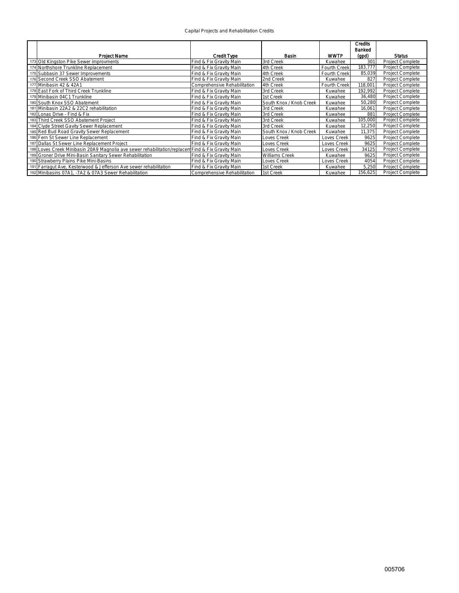|  | Capital Projects and Rehabilitation Credits |  |
|--|---------------------------------------------|--|
|  |                                             |  |

|                                                                                                   |                              |                         |              | <b>Credits</b><br>Banked |                  |
|---------------------------------------------------------------------------------------------------|------------------------------|-------------------------|--------------|--------------------------|------------------|
| <b>Project Name</b>                                                                               | <b>Credit Type</b>           | Basin                   | <b>WWTP</b>  | (gpd)                    | <b>Status</b>    |
| 173 Old Kingston Pike Sewer improvments                                                           | Find & Fix Gravity Main      | 3rd Creek               | Kuwahee      | 30 <sup>°</sup>          | Project Complete |
| 174 Northshore Trunkline Replacement                                                              | Find & Fix Gravity Main      | 4th Creek               | Fourth Creek | 183,777                  | Project Complete |
| 175 Subbasin 37 Sewer Improvements                                                                | Find & Fix Gravity Main      | 4th Creek               | Fourth Creek | 85,039                   | Project Complete |
| 176 Second Creek SSO Abatement                                                                    | Find & Fix Gravity Main      | 2nd Creek               | Kuwahee      | 827                      | Project Complete |
| 177 Minibasin 42 & 42A1                                                                           | Comprehensive Rehabilitation | 4th Creek               | Fourth Creek | 118,001                  | Project Complete |
| 178 East Fork of Third Creek Trunkline                                                            | Find & Fix Gravity Main      | 3rd Creek               | Kuwahee      | 192,992                  | Project Complete |
| 179 Minibasin 04C1 Trunkline                                                                      | Find & Fix Gravity Main      | 1st Creek               | Kuwahee      | 36,480                   | Project Complete |
| 180 South Knox SSO Abatement                                                                      | Find & Fix Gravity Main      | South Knox / Knob Creek | Kuwahee      | 50,280                   | Project Complete |
| 181 Minibasin 22A2 & 22C2 rehabilitation                                                          | Find & Fix Gravity Main      | 3rd Creek               | Kuwahee      | 16,061                   | Project Complete |
| 182 Lonas Drive - Find & Fix                                                                      | Find & Fix Gravity Main      | 3rd Creek               | Kuwahee      | 881                      | Project Complete |
| 183 Third Creek SSO Abatement Project                                                             | Find & Fix Gravity Main      | 3rd Creek               | Kuwahee      | 105,000                  | Project Complete |
| 184 Clyde Street Gavity Sewer Replacement                                                         | Find & Fix Gravity Main      | 3rd Creek               | Kuwahee      | 12,250                   | Project Complete |
| 185 Red Bud Road Gravity Sewer Replacement                                                        | Find & Fix Gravity Main      | South Knox / Knob Creek | Kuwahee      | 11,375                   | Project Complete |
| 186 Fern St Sewer Line Replacement                                                                | Find & Fix Gravity Main      | Loves Creek             | Loves Creek  | 9625                     | Project Complete |
| 187 Dallas St Sewer Line Replacement Project                                                      | Find & Fix Gravity Main      | Loves Creek             | Loves Creek  | 9625                     | Project Complete |
| 188 Loves Creek Minibasin 20A9 Magnolia ave sewer rehabilitation/replacem Find & Fix Gravity Main |                              | Loves Creek             | Loves Creek  | 34125                    | Project Complete |
| 189 Groner Drive Mini-Basin Sanitary Sewer Rehabilitation                                         | Find & Fix Gravity Main      | <b>Williams Creek</b>   | Kuwahee      | 9625                     | Project Complete |
| 190 Strawberry Plains Pike Mini-Basins                                                            | Find & Fix Gravity Main      | Loves Creek             | Loves Creek  | 4054                     | Project Complete |
| 191 Farragut Ave, Kesterwood & Jefferson Ave sewer rehabilitation                                 | Find & Fix Gravity Main      | 1st Creek               | Kuwahee      | 5,250                    | Project Complete |
| 192 Minibasins 07A1, -7A2 & 07A3 Sewer Rehabilitation                                             | Comprehensive Rehabilitation | 1st Creek               | Kuwahee      | 156,625                  | Project Complete |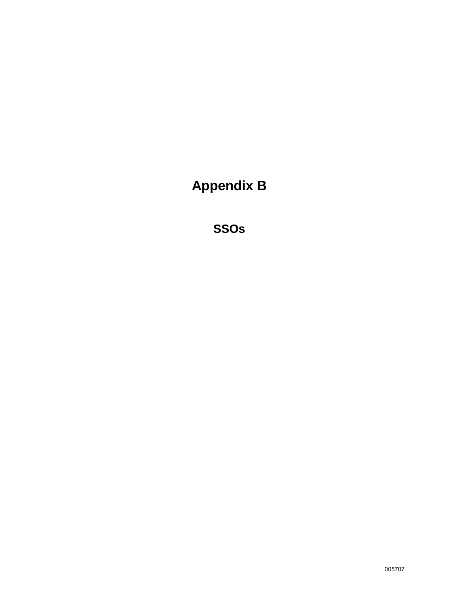# **Appendix B**

**SSOs**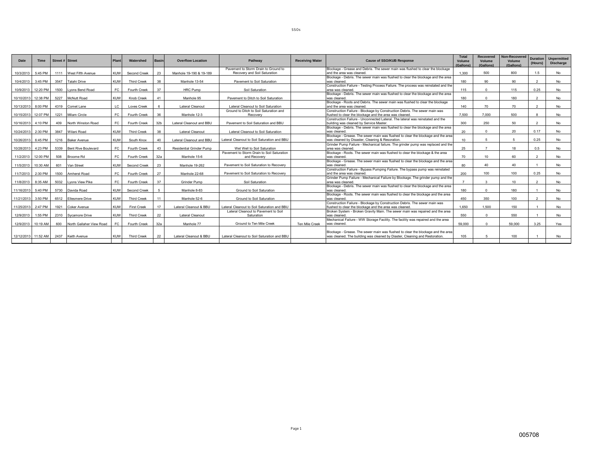| Date                | <b>Time</b> | Street # Street |                              | Plant      | Watershed          | <b>Basin</b>    | <b>Overflow Location</b> | Pathway                                     | <b>Receiving Water</b> | <b>Cause of SSO/KUB Response</b>                                                   | Total<br>Volume<br>(Gallons) | <b>Recovered</b><br>Volume<br>(Gallons) | <b>Non-Recovered</b><br>Volume<br>(Gallons) | <b>Duration</b><br>(Hours) | <b>Unpermitted</b><br><b>Discharge</b> |
|---------------------|-------------|-----------------|------------------------------|------------|--------------------|-----------------|--------------------------|---------------------------------------------|------------------------|------------------------------------------------------------------------------------|------------------------------|-----------------------------------------|---------------------------------------------|----------------------------|----------------------------------------|
|                     |             |                 |                              |            |                    |                 |                          | Pavement to Storm Drain to Ground to        |                        | Blockage - Grease and Debris. The sewer main was flushed to clear the blockage     |                              |                                         |                                             |                            |                                        |
| 10/3/2013           | 5:45 PM     |                 | 1111 West Fifth Avenue       | <b>KUW</b> | Second Creek       | 23              | Manhole 19-190 & 19-189  | Recovery and Soil Saturation                |                        | and the area was cleaned                                                           | 1.300                        | 500                                     | 800                                         | 1.5                        | <b>No</b>                              |
|                     |             |                 |                              |            |                    |                 |                          |                                             |                        | Blockage - Debris. The sewer main was flushed to clear the blockage and the area   |                              |                                         |                                             |                            |                                        |
| 10/4/2013 3:45 PM   |             |                 | 3547 Talahi Drive            | KUW        | <b>Third Creek</b> | 38              | Manhole 13-54            | Payement to Soil Saturation                 |                        | was cleaned                                                                        | 180                          | 90                                      | 90                                          | $\overline{2}$             | <b>No</b>                              |
|                     |             |                 |                              |            |                    |                 |                          |                                             |                        | Construction Failure - Testing Process Failure. The process was reinstated and the |                              |                                         |                                             |                            |                                        |
| 10/9/2013 12:20 PM  |             | 1500            | Lyons Bend Road              | FC.        | Fourth Creek       | 37              | <b>HRC Pump</b>          | Soil Saturation                             |                        | area was cleaned.                                                                  | 115                          | $\Omega$                                | 115                                         | 0.25                       | <b>No</b>                              |
|                     |             |                 |                              |            |                    |                 |                          |                                             |                        | Blockage - Debris. The sewer main was flushed to clear the blockage and the area   |                              |                                         |                                             |                            |                                        |
| 10/10/2013          | 12:38 PM    |                 | 5227 McNutt Road             | <b>KUW</b> | Knob Creek         | 41              | Manhole 95               | Pavement to Ditch to Soil Saturation        |                        | was cleaned                                                                        | 180                          | $\Omega$                                | 180                                         | $\overline{\phantom{a}}$   | <b>No</b>                              |
|                     |             |                 |                              |            |                    |                 |                          |                                             |                        | Blockage - Roots and Debris. The sewer main was flushed to clear the blockage      |                              |                                         |                                             |                            |                                        |
| 10/13/2013          | 8:00 PM     |                 | 4319 Comet Lane              | LC.        | Loves Creek        |                 | Lateral Cleanout         | Lateral Cleanout to Soil Saturation         |                        | and the area was cleaned.                                                          | 140                          | 70                                      | 70                                          |                            | <b>No</b>                              |
|                     |             |                 |                              |            |                    |                 |                          | Ground to Ditch to Soil Saturation and      |                        | Construction Failure - Blockage by Construction Debris. The sewer main was         |                              |                                         |                                             |                            |                                        |
| 10/15/2013          | 12:07 PM    | 1221            | Milam Circle                 | FC.        | Fourth Creek       | 36              | Manhole 12-3             | Recovery                                    |                        | flushed to clear the blockage and the area was cleaned.                            | 7.500                        | 7.000                                   | 500                                         |                            | <b>No</b>                              |
|                     |             |                 |                              |            |                    |                 |                          |                                             |                        | Construction Failure - Unconnected Lateral, The lateral was reinstated and the     |                              |                                         |                                             |                            |                                        |
| 10/16/2013          | 4:10 PM     | 409             | North Winston Road           | FC.        | Fourth Creek       | 32 <sub>b</sub> | Lateral Cleanout and BBU | Payement to Soil Saturation and BBU         |                        | building was cleaned by Service Master                                             | 300                          | 250                                     | 50                                          | $\overline{\phantom{a}}$   | <b>No</b>                              |
|                     |             |                 |                              |            |                    |                 |                          |                                             |                        | Blockage - Debris. The sewer main was flushed to clear the blockage and the area   |                              |                                         |                                             |                            |                                        |
| 10/24/2013          | 2:30 PM     |                 | 3847 Wilani Road             | <b>KUW</b> | <b>Third Creek</b> | 38              | Lateral Cleanout         | Lateral Cleanout to Soil Saturation         |                        | was cleaned                                                                        | 20                           |                                         | 20                                          | 0.17                       | <b>No</b>                              |
|                     |             |                 |                              |            |                    |                 |                          |                                             |                        | Blockage - Grease. The sewer main was flushed to clear the blockage and the area   |                              |                                         |                                             |                            |                                        |
| 10/26/2013          | 6:45 PM     | 1216            | <b>Baker Avenue</b>          | KUW        | South Knox         | 40              | Lateral Cleanout and BBL | Lateral Cleanout to Soil Saturation and BBU |                        | was cleaned by Disaster, Cleaning & Resoration.                                    | 10                           |                                         |                                             | 0.25                       | <b>No</b>                              |
|                     |             |                 |                              |            |                    |                 |                          |                                             |                        | Grinder Pump Failure - Mechanical failure. The grinder pump was replaced and the   |                              |                                         |                                             |                            |                                        |
| 10/28/2013          | 4:23 PM     | 5339            | <b>Bent Rive Boulevard</b>   | FC.        | Fourth Creek       | 43              | Residential Grinder Pump | Wet Well to Soil Saturation                 |                        | area was cleaned.                                                                  | 25                           |                                         | 18                                          | 0.5                        | <b>No</b>                              |
|                     |             |                 |                              |            |                    |                 |                          | Pavement to Storm Drain to Soil Saturation  |                        | Blockage - Roots. The sewer main was flushed to clear the blockage & the area      |                              |                                         |                                             |                            |                                        |
| 11/2/2013           | 12:00 PM    |                 | 508 Broome Rd                | FC.        | Fourth Creek       | 32a             | Manhole 15-6             | and Recovery                                |                        | was cleaned                                                                        | 70                           | 10                                      | 60                                          | $\overline{2}$             | <b>No</b>                              |
|                     |             |                 |                              |            |                    |                 |                          |                                             |                        | Blockage - Grease. The sewer main was flushed to clear the blockage and the area   |                              |                                         |                                             |                            |                                        |
| 11/5/2013 10:30 AM  |             | 601             | Van Street                   | <b>KUW</b> | Second Creek       | 23              | Manhole 19-262           | Pavement to Soil Saturation to Recovery     |                        | was cleaned                                                                        | 80                           | 40                                      | 40                                          |                            | <b>No</b>                              |
|                     |             |                 |                              |            |                    |                 |                          |                                             |                        | Construction Failure - Bypass Pumping Failure. The bypass pump was reinstated      |                              |                                         |                                             |                            |                                        |
| 11/7/2013           | $2:30$ PM   |                 | 1500 Amherst Road            | EC.        | Fourth Creek       | 27              | Manhole 22-68            | Pavement to Soil Saturation to Recovery     |                        | and the area was cleaned                                                           | 200                          | 100                                     | 100                                         | 0.25                       | <b>No</b>                              |
|                     |             |                 |                              |            |                    |                 |                          |                                             |                        | Grinder Pump Failure - Mechanical Failure by Blockage. The grinder pump and the    |                              |                                         |                                             |                            |                                        |
| 11/8/2013 8:35 AM   |             |                 | 5032 Lyons View Pike         | FC.        | Fourth Creek       | 37              | Grinder Pump             | Soil Saturation                             |                        | area was cleaned.                                                                  |                              | $\mathbf{r}$                            | 10 <sup>1</sup>                             | $\overline{\phantom{a}}$   | <b>No</b>                              |
|                     |             |                 |                              |            |                    |                 |                          |                                             |                        | Blockage - Debris. The sewer main was flushed to clear the blockage and the area   |                              |                                         |                                             |                            |                                        |
| 11/16/2013 5:40 PM  |             |                 | 5730 Davida Road             | KUW        | Second Creek       |                 | Manhole 8-83             | Ground to Soil Saturation                   |                        | was cleaned                                                                        | 180                          | $\Omega$                                | 180                                         |                            | <b>No</b>                              |
|                     |             |                 |                              |            |                    |                 |                          |                                             |                        | Blockage - Roots. The sewer main was flushed to clear the blockage and the area    |                              |                                         |                                             |                            |                                        |
| 11/21/2013          | 3:50 PM     |                 | 6512 Ellesmere Drive         | <b>KUW</b> | <b>Third Creek</b> | 11              | Manhole 52-6             | Ground to Soil Saturation                   |                        | was cleaned                                                                        | 450                          | 350                                     | 100                                         |                            | <b>No</b>                              |
|                     |             |                 |                              |            |                    |                 |                          |                                             |                        | Construction Failure - Blockage by Construction Debris. The sewer main was         |                              |                                         |                                             |                            |                                        |
| 11/25/2013          | 2:47 PM     |                 | 1921 Coker Avenue            | <b>KUW</b> | <b>First Creek</b> | 17              | Lateral Cleanout & BBU   | Lateral Cleanout to Soil Saturation and BBU |                        | flushed to clear the blockage and the area was cleaned.                            | 1.650                        | 1.500                                   | 150                                         |                            | <b>No</b>                              |
|                     |             |                 |                              |            |                    |                 |                          | Lateral Cleanout to Pavement to Soil        |                        | Broken System - Broken Gravity Main. The sewer main was repaired and the area      |                              |                                         |                                             |                            |                                        |
| 12/9/2013           | 1:55 PM     |                 | 2310 Sycamore Drive          | <b>KUW</b> | <b>Third Creek</b> | 22              | Lateral Cleanout         | Saturation                                  |                        | was cleaned.                                                                       | 550                          | $\Omega$                                | 550                                         |                            | <b>No</b>                              |
|                     |             |                 |                              |            |                    |                 |                          |                                             |                        | Mechanical Failure - WW Storage Facility. The facility was repaired and the area   |                              |                                         |                                             |                            |                                        |
| 12/9/2013           | 10:19 AM    |                 | 600 North Gallaher View Road | FC.        | Fourth Creek       | 32a             | Manhole 77               | Ground to Ten Mile Creek                    | Ten Mile Creek         | was cleaned.                                                                       | 59,000                       | $\Omega$                                | 59,000                                      | 3.25                       | Yes                                    |
|                     |             |                 |                              |            |                    |                 |                          |                                             |                        |                                                                                    |                              |                                         |                                             |                            |                                        |
|                     |             |                 |                              |            |                    |                 |                          |                                             |                        | Blockage - Grease. The sewer main was flushed to clear the blockage and the area   |                              |                                         |                                             |                            |                                        |
| 12/12/2013 11:52 AM |             |                 | 2437 Keith Avenue            | <b>KUW</b> | <b>Third Creek</b> | 22              | Lateral Cleanout & BBU   | Lateral Cleanout to Soil Saturation and BBU |                        | was cleaned. The building was cleaned by Diaster. Cleaning and Restoration.        | 105                          |                                         | 100                                         |                            | <b>No</b>                              |
|                     |             |                 |                              |            |                    |                 |                          |                                             |                        |                                                                                    |                              |                                         |                                             |                            |                                        |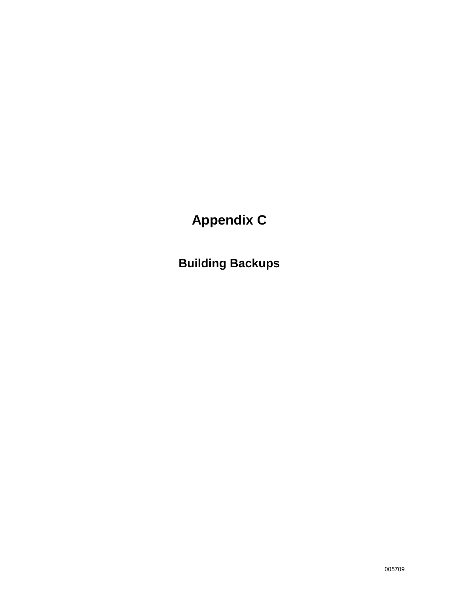# **Appendix C**

**Building Backups**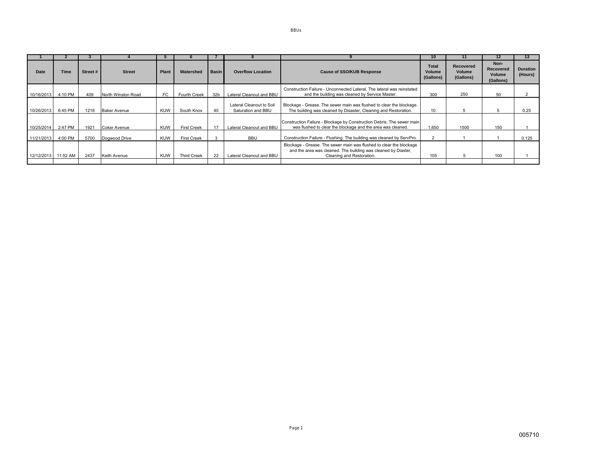|                     |             |          |                     |            |                    |              |                                                |                                                                                                                                                                    | 10                           |                                         |                                                 | 13                         |
|---------------------|-------------|----------|---------------------|------------|--------------------|--------------|------------------------------------------------|--------------------------------------------------------------------------------------------------------------------------------------------------------------------|------------------------------|-----------------------------------------|-------------------------------------------------|----------------------------|
| Date                | <b>Time</b> | Street # | <b>Street</b>       | Plant      | Watershed          | <b>Basin</b> | <b>Overflow Location</b>                       | <b>Cause of SSO/KUB Response</b>                                                                                                                                   | Total<br>Volume<br>(Gallons) | <b>Recovered</b><br>Volume<br>(Gallons) | Non-<br>Recovered<br><b>Volume</b><br>(Gallons) | <b>Duration</b><br>(Hours) |
| 10/16/2013          | 4:10 PM     | 409      | North Winston Road  | FC.        | Fourth Creek       | 32b          | Lateral Cleanout and BBU                       | Construction Failure - Unconnected Lateral. The lateral was reinstated<br>and the building was cleaned by Service Master.                                          | 300                          | 250                                     | 50                                              |                            |
| 10/26/2013          | 6:45 PM     | 1216     | <b>Baker Avenue</b> | KUW        | South Knox         | 40           | Lateral Cleanout to Soil<br>Saturation and BBU | Blockage - Grease. The sewer main was flushed to clear the blockage.<br>The building was cleaned by Disaster, Cleaning and Restoration.                            | 10                           | 5                                       |                                                 | 0.25                       |
| 10/25/2014          | 2:47 PM     | 1921     | <b>Coker Avenue</b> | KUW        | <b>First Creek</b> | 17           | Lateral Cleanout and BBU                       | Construction Failure - Blockage by Construction Debris. The sewer main<br>was flushed to clear the blockage and the area was cleaned.                              | 1.650                        | 1500                                    | 150                                             |                            |
| 11/21/2013          | 4:00 PM     | 5700     | Dogwood Drive       | <b>KUW</b> | <b>First Creek</b> |              | <b>BBU</b>                                     | Construction Failure - Flushing. The building was cleaned by ServPro.                                                                                              |                              |                                         |                                                 | 0.125                      |
| 12/12/2013 11:52 AM |             | 2437     | Keith Avenue        | KUW        | <b>Third Creek</b> | 22           | Lateral Cleanout and BBU                       | Blockage - Grease. The sewer main was flushed to clear the blockage<br>and the area was cleaned. The building was cleaned by Diaster,<br>Cleaning and Restoration. | 105                          |                                         | 100                                             |                            |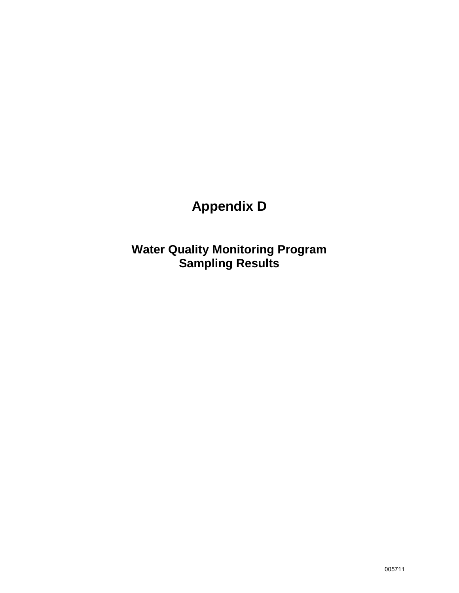# **Appendix D**

**Water Quality Monitoring Program Sampling Results**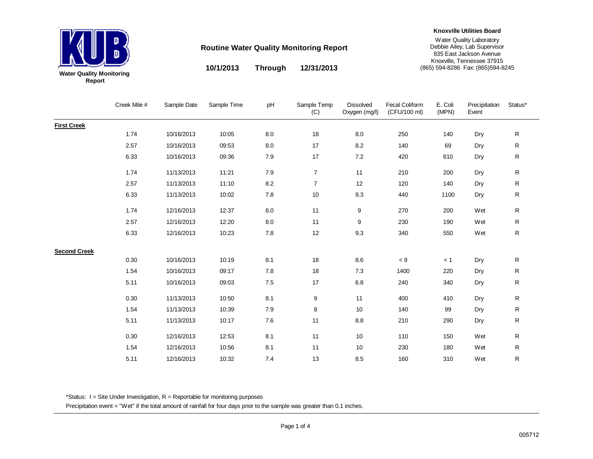

**10/1/2013 12/31/2013Through**

#### **Knoxville Utilities Board**

Water Quality Laboratory Debbie Ailey, Lab Supervisor 835 East Jackson Avenue Knoxville, Tennessee 37915 (865) 594-8286 Fax: (865)594-8245

Creek Mile # Sample Date Sample Time pH Sample Temp (C) Dissolved Oxygen (mg/l) Fecal Coliform (CFU/100 ml) E. Coli (MPN) Precipitation Event Status\***First Creek** 1.74 10/16/2013 10:05 8.0 18 8.0 250 140 Dry R2.57 10/16/2013 09:53 8.0 17 8.2 140 69 Dry R 6.33 10/16/2013 09:36 7.9 17 7.2 420 610 Dry R1.74 11/13/2013 11:21 7.9 7 11 210 200 Dry R2.57 11/13/2013 11:100 8.2 7 12 120 140 Dry R6.33 11/13/2013 10:02 7.8 10 9.3 440 1100 Dry R 1.74 12/16/2013 12:37 8.0 11 9 270 200 Wet R2.57 12/16/2013 12:20 8.0 11 9 230 190 Wet R6.33 12/16/2013 10:23 7.8 12 9.3 340 550 Wet R**Second Creek** 0.30 10/16/2013 10:19 8.1 18 8.6 < 9 < 1 Dry R1.54 10/16/2013 09:17 7.8 18 7.3 1400 220 Dry R5.11 10/16/2013 09:03 7.5 17 6.8 240 340 Dry R0.30 11/13/2013 10:50 8.1 9 11 400 410 Dry R1.54 11/13/2013 10:39 7.9 8 10 140 99 Dry R5.11 11/13/2013 10:17 7.6 11 8.8 210 290 Dry R0.30 12/16/2013 12:53 8.1 11 10 110 150 Wet R1.54 12/16/2013 10:56 8.1 11 10 230 180 Wet R5.11 12/16/2013 10:327.4 13 8.5 160 310 Wet R

\*Status:  $I =$  Site Under Investigation,  $R =$  Reportable for monitoring purposes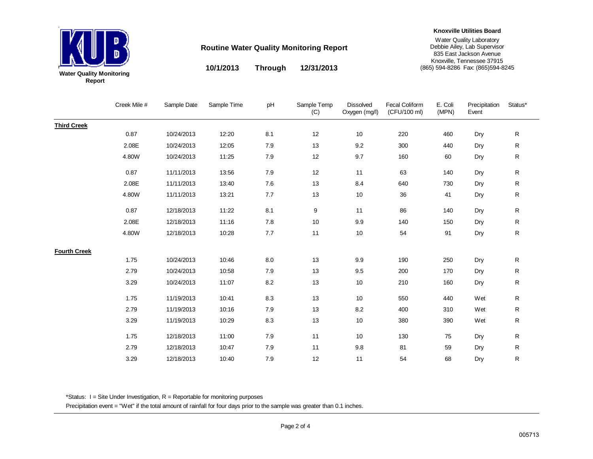

**10/1/2013 12/31/2013Through**

#### **Knoxville Utilities Board**

Water Quality Laboratory Debbie Ailey, Lab Supervisor 835 East Jackson Avenue Knoxville, Tennessee 37915 (865) 594-8286 Fax: (865)594-8245

|                     | Creek Mile # | Sample Date | Sample Time | рH    | Sample Temp<br>(C) | <b>Dissolved</b><br>Oxygen (mg/l) | <b>Fecal Coliform</b><br>(CFU/100 ml) | E. Coli<br>(MPN) | Precipitation<br>Event | Status*     |
|---------------------|--------------|-------------|-------------|-------|--------------------|-----------------------------------|---------------------------------------|------------------|------------------------|-------------|
| <b>Third Creek</b>  |              |             |             |       |                    |                                   |                                       |                  |                        |             |
|                     | 0.87         | 10/24/2013  | 12:20       | 8.1   | 12                 | 10                                | 220                                   | 460              | Dry                    | ${\sf R}$   |
|                     | 2.08E        | 10/24/2013  | 12:05       | 7.9   | 13                 | 9.2                               | 300                                   | 440              | Dry                    | ${\sf R}$   |
|                     | 4.80W        | 10/24/2013  | 11:25       | 7.9   | $12$               | 9.7                               | 160                                   | 60               | Dry                    | ${\sf R}$   |
|                     | 0.87         | 11/11/2013  | 13:56       | 7.9   | 12                 | 11                                | 63                                    | 140              | Dry                    | ${\sf R}$   |
|                     | 2.08E        | 11/11/2013  | 13:40       | 7.6   | 13                 | 8.4                               | 640                                   | 730              | Dry                    | ${\sf R}$   |
|                     | 4.80W        | 11/11/2013  | 13:21       | 7.7   | 13                 | 10                                | 36                                    | 41               | Dry                    | ${\sf R}$   |
|                     | 0.87         | 12/18/2013  | 11:22       | 8.1   | 9                  | 11                                | 86                                    | 140              | Dry                    | ${\sf R}$   |
|                     | 2.08E        | 12/18/2013  | 11:16       | 7.8   | 10                 | 9.9                               | 140                                   | 150              | Dry                    | $\mathsf R$ |
|                     | 4.80W        | 12/18/2013  | 10:28       | $7.7$ | 11                 | 10                                | 54                                    | 91               | Dry                    | $\mathsf R$ |
| <b>Fourth Creek</b> |              |             |             |       |                    |                                   |                                       |                  |                        |             |
|                     | 1.75         | 10/24/2013  | 10:46       | 8.0   | 13                 | 9.9                               | 190                                   | 250              | Dry                    | ${\sf R}$   |
|                     | 2.79         | 10/24/2013  | 10:58       | 7.9   | 13                 | 9.5                               | 200                                   | 170              | Dry                    | ${\sf R}$   |
|                     | 3.29         | 10/24/2013  | 11:07       | 8.2   | 13                 | 10                                | 210                                   | 160              | Dry                    | ${\sf R}$   |
|                     | 1.75         | 11/19/2013  | 10:41       | 8.3   | 13                 | 10                                | 550                                   | 440              | Wet                    | ${\sf R}$   |
|                     | 2.79         | 11/19/2013  | 10:16       | 7.9   | 13                 | $8.2\,$                           | 400                                   | 310              | Wet                    | $\mathsf R$ |
|                     | 3.29         | 11/19/2013  | 10:29       | 8.3   | 13                 | 10                                | 380                                   | 390              | Wet                    | R           |
|                     | 1.75         | 12/18/2013  | 11:00       | 7.9   | 11                 | 10                                | 130                                   | 75               | Dry                    | ${\sf R}$   |
|                     | 2.79         | 12/18/2013  | 10:47       | 7.9   | 11                 | 9.8                               | 81                                    | 59               | Dry                    | $\mathsf R$ |
|                     | 3.29         | 12/18/2013  | 10:40       | 7.9   | 12                 | 11                                | 54                                    | 68               | Dry                    | R           |

\*Status: I = Site Under Investigation, R = Reportable for monitoring purposes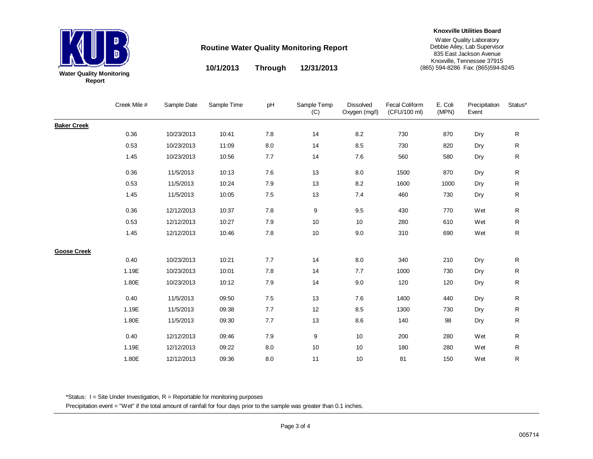

#### **Knoxville Utilities Board**

Water Quality Laboratory Debbie Ailey, Lab Supervisor 835 East Jackson Avenue Knoxville, Tennessee 37915 (865) 594-8286 Fax: (865)594-8245

**10/1/2013 12/31/2013Through**

|                    | Creek Mile # | Sample Date | Sample Time | pH      | Sample Temp<br>(C) | <b>Dissolved</b><br>Oxygen (mg/l) | <b>Fecal Coliform</b><br>(CFU/100 ml) | E. Coli<br>(MPN) | Precipitation<br>Event | Status*      |
|--------------------|--------------|-------------|-------------|---------|--------------------|-----------------------------------|---------------------------------------|------------------|------------------------|--------------|
| <b>Baker Creek</b> |              |             |             |         |                    |                                   |                                       |                  |                        |              |
|                    | 0.36         | 10/23/2013  | 10:41       | 7.8     | 14                 | 8.2                               | 730                                   | 870              | Dry                    | ${\sf R}$    |
|                    | 0.53         | 10/23/2013  | 11:09       | 8.0     | 14                 | 8.5                               | 730                                   | 820              | Dry                    | $\mathsf R$  |
|                    | 1.45         | 10/23/2013  | 10:56       | 7.7     | 14                 | 7.6                               | 560                                   | 580              | Dry                    | ${\sf R}$    |
|                    | 0.36         | 11/5/2013   | 10:13       | $7.6\,$ | 13                 | $8.0\,$                           | 1500                                  | 870              | Dry                    | ${\sf R}$    |
|                    | 0.53         | 11/5/2013   | 10:24       | 7.9     | 13                 | 8.2                               | 1600                                  | 1000             | Dry                    | ${\sf R}$    |
|                    | 1.45         | 11/5/2013   | 10:05       | 7.5     | 13                 | 7.4                               | 460                                   | 730              | Dry                    | ${\sf R}$    |
|                    | 0.36         | 12/12/2013  | 10:37       | 7.8     | 9                  | 9.5                               | 430                                   | 770              | Wet                    | $\mathsf{R}$ |
|                    | 0.53         | 12/12/2013  | 10:27       | 7.9     | 10                 | 10                                | 280                                   | 610              | Wet                    | ${\sf R}$    |
|                    | 1.45         | 12/12/2013  | 10:46       | 7.8     | 10                 | 9.0                               | 310                                   | 690              | Wet                    | ${\sf R}$    |
| <b>Goose Creek</b> |              |             |             |         |                    |                                   |                                       |                  |                        |              |
|                    | 0.40         | 10/23/2013  | 10:21       | 7.7     | 14                 | 8.0                               | 340                                   | 210              | Dry                    | $\mathsf R$  |
|                    | 1.19E        | 10/23/2013  | 10:01       | 7.8     | 14                 | 7.7                               | 1000                                  | 730              | Dry                    | $\mathsf R$  |
|                    | 1.80E        | 10/23/2013  | 10:12       | 7.9     | 14                 | 9.0                               | 120                                   | 120              | Dry                    | ${\sf R}$    |
|                    | 0.40         | 11/5/2013   | 09:50       | 7.5     | 13                 | 7.6                               | 1400                                  | 440              | Dry                    | $\mathsf R$  |
|                    | 1.19E        | 11/5/2013   | 09:38       | 7.7     | 12                 | 8.5                               | 1300                                  | 730              | Dry                    | ${\sf R}$    |
|                    | 1.80E        | 11/5/2013   | 09:30       | 7.7     | 13                 | 8.6                               | 140                                   | 98               | Dry                    | ${\sf R}$    |
|                    | 0.40         | 12/12/2013  | 09:46       | 7.9     | 9                  | 10                                | 200                                   | 280              | Wet                    | ${\sf R}$    |
|                    | 1.19E        | 12/12/2013  | 09:22       | 8.0     | 10                 | 10                                | 180                                   | 280              | Wet                    | ${\sf R}$    |
|                    | 1.80E        | 12/12/2013  | 09:36       | 8.0     | 11                 | 10                                | 81                                    | 150              | Wet                    | R            |

\*Status: I = Site Under Investigation, R = Reportable for monitoring purposes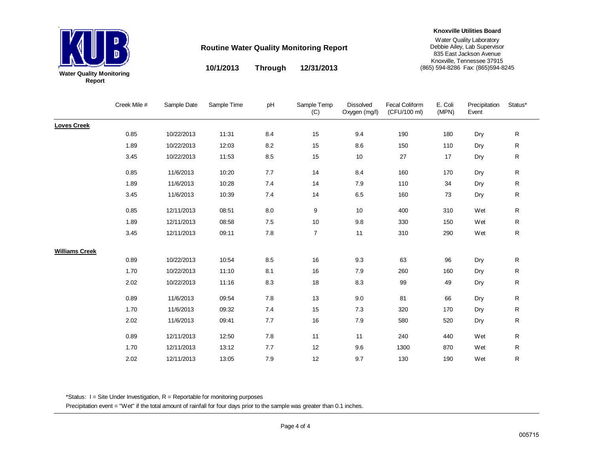

#### **Knoxville Utilities Board**

Water Quality Laboratory Debbie Ailey, Lab Supervisor 835 East Jackson Avenue Knoxville, Tennessee 37915 (865) 594-8286 Fax: (865)594-8245

 $=$   $\sim$   $\degree$ 

**10/1/2013 12/31/2013 Through**

Dissolved

|                       | Creek Mile # | Sample Date | Sample Time | рH        | Sample Temp<br>(C) | <b>Dissolved</b><br>Oxygen (mg/l) | <b>Fecal Coliform</b><br>(CFU/100 ml) | E. Coli<br>(MPN) | Precipitation<br>Event | Status*      |
|-----------------------|--------------|-------------|-------------|-----------|--------------------|-----------------------------------|---------------------------------------|------------------|------------------------|--------------|
| <b>Loves Creek</b>    |              |             |             |           |                    |                                   |                                       |                  |                        |              |
|                       | 0.85         | 10/22/2013  | 11:31       | 8.4       | 15                 | 9.4                               | 190                                   | 180              | Dry                    | $\mathsf R$  |
|                       | 1.89         | 10/22/2013  | 12:03       | $8.2\,$   | 15                 | 8.6                               | 150                                   | 110              | Dry                    | ${\sf R}$    |
|                       | 3.45         | 10/22/2013  | 11:53       | $\bf 8.5$ | 15                 | 10                                | 27                                    | 17               | Dry                    | ${\sf R}$    |
|                       | 0.85         | 11/6/2013   | 10:20       | 7.7       | 14                 | 8.4                               | 160                                   | 170              | Dry                    | $\mathsf R$  |
|                       | 1.89         | 11/6/2013   | 10:28       | 7.4       | 14                 | 7.9                               | 110                                   | 34               | Dry                    | R            |
|                       | 3.45         | 11/6/2013   | 10:39       | 7.4       | 14                 | $6.5\,$                           | 160                                   | 73               | Dry                    | R            |
|                       | 0.85         | 12/11/2013  | 08:51       | 8.0       | 9                  | 10                                | 400                                   | 310              | Wet                    | ${\sf R}$    |
|                       | 1.89         | 12/11/2013  | 08:58       | 7.5       | 10                 | 9.8                               | 330                                   | 150              | Wet                    | $\mathsf{R}$ |
|                       | 3.45         | 12/11/2013  | 09:11       | $7.8\,$   | $\overline{7}$     | 11                                | 310                                   | 290              | Wet                    | $\mathsf{R}$ |
| <b>Williams Creek</b> |              |             |             |           |                    |                                   |                                       |                  |                        |              |
|                       | 0.89         | 10/22/2013  | 10:54       | 8.5       | 16                 | 9.3                               | 63                                    | 96               | Dry                    | $\mathsf R$  |
|                       | 1.70         | 10/22/2013  | 11:10       | 8.1       | 16                 | 7.9                               | 260                                   | 160              | Dry                    | R            |
|                       | 2.02         | 10/22/2013  | 11:16       | 8.3       | 18                 | 8.3                               | 99                                    | 49               | Dry                    | ${\sf R}$    |
|                       | 0.89         | 11/6/2013   | 09:54       | $7.8\,$   | 13                 | 9.0                               | 81                                    | 66               | Dry                    | R            |
|                       | 1.70         | 11/6/2013   | 09:32       | 7.4       | 15                 | 7.3                               | 320                                   | 170              | Dry                    | $\mathsf R$  |
|                       | 2.02         | 11/6/2013   | 09:41       | $7.7\,$   | 16                 | $7.9$                             | 580                                   | 520              | Dry                    | $\mathsf{R}$ |
|                       | 0.89         | 12/11/2013  | 12:50       | 7.8       | 11                 | 11                                | 240                                   | 440              | Wet                    | R            |
|                       | 1.70         | 12/11/2013  | 13:12       | 7.7       | 12                 | 9.6                               | 1300                                  | 870              | Wet                    | ${\sf R}$    |
|                       | 2.02         | 12/11/2013  | 13:05       | 7.9       | 12                 | 9.7                               | 130                                   | 190              | Wet                    | R            |

\*Status: I = Site Under Investigation, R = Reportable for monitoring purposes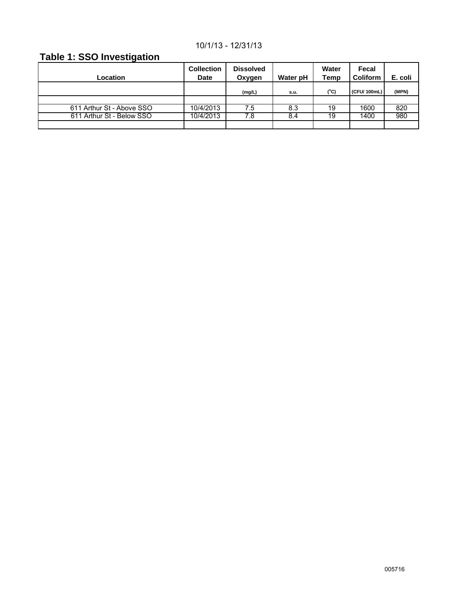## 10/1/13 - 12/31/13

## **Table 1: SSO Investigation**

| <b>Location</b>           | <b>Collection</b><br><b>Date</b> | <b>Dissolved</b><br>Oxygen | Water pH | Water<br>Temp | Fecal<br><b>Coliform</b> | E. coli |
|---------------------------|----------------------------------|----------------------------|----------|---------------|--------------------------|---------|
|                           |                                  | (mg/L)                     | s.u.     | (°C)          | (CFU/ 100mL)             | (MPN)   |
|                           |                                  |                            |          |               |                          |         |
| 611 Arthur St - Above SSO | 10/4/2013                        | 7.5                        | 8.3      | 19            | 1600                     | 820     |
| 611 Arthur St - Below SSO | 10/4/2013                        | 7.8                        | 8.4      | 19            | 1400                     | 980     |
|                           |                                  |                            |          |               |                          |         |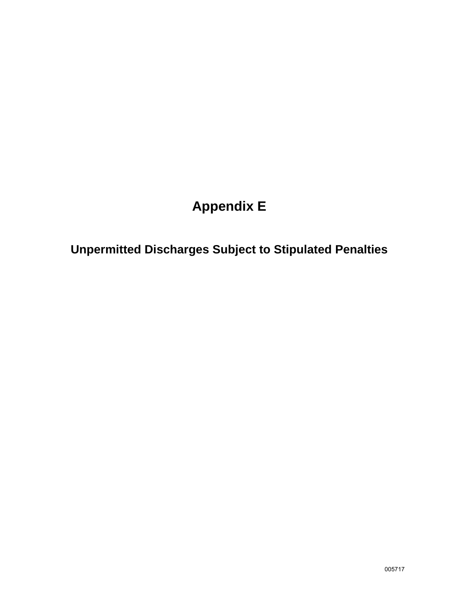# **Appendix E**

**Unpermitted Discharges Subject to Stipulated Penalties**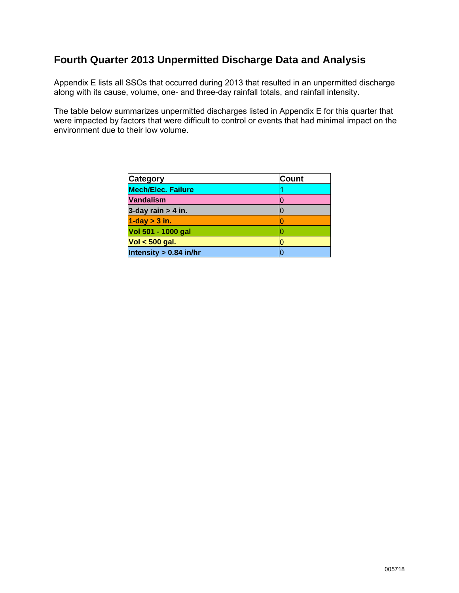## **Fourth Quarter 2013 Unpermitted Discharge Data and Analysis**

Appendix E lists all SSOs that occurred during 2013 that resulted in an unpermitted discharge along with its cause, volume, one- and three-day rainfall totals, and rainfall intensity.

The table below summarizes unpermitted discharges listed in Appendix E for this quarter that were impacted by factors that were difficult to control or events that had minimal impact on the environment due to their low volume.

| <b>Category</b>           | <b>Count</b> |
|---------------------------|--------------|
| <b>Mech/Elec. Failure</b> |              |
| <b>Vandalism</b>          |              |
| 3-day rain $> 4$ in.      |              |
| $1$ -day $>$ 3 in.        |              |
| Vol 501 - 1000 gal        |              |
| $Vol < 500$ gal.          |              |
| Intensity > 0.84 in/hr    |              |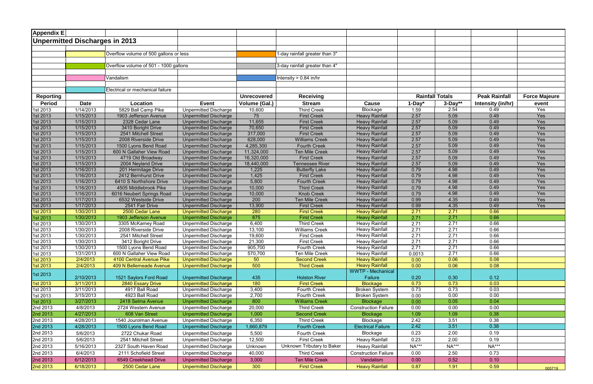| <b>Appendix E</b>    |                                |                                             |                                                              |                    |                                           |                                                |                        |              |                      |                      |
|----------------------|--------------------------------|---------------------------------------------|--------------------------------------------------------------|--------------------|-------------------------------------------|------------------------------------------------|------------------------|--------------|----------------------|----------------------|
|                      | Unpermitted Discharges in 2013 |                                             |                                                              |                    |                                           |                                                |                        |              |                      |                      |
|                      |                                |                                             |                                                              |                    |                                           |                                                |                        |              |                      |                      |
|                      |                                | Overflow volume of 500 gallons or less      |                                                              |                    | 1-day rainfall greater than 3"            |                                                |                        |              |                      |                      |
|                      |                                |                                             |                                                              |                    |                                           |                                                |                        |              |                      |                      |
|                      |                                | Overflow volume of 501 - 1000 gallons       |                                                              |                    | 3-day rainfall greater than 4"            |                                                |                        |              |                      |                      |
|                      |                                | Vandalism                                   |                                                              |                    | Intensity $> 0.84$ in/hr                  |                                                |                        |              |                      |                      |
|                      |                                |                                             |                                                              |                    |                                           |                                                |                        |              |                      |                      |
|                      |                                | Electrical or mechanical failure            |                                                              |                    |                                           |                                                |                        |              |                      |                      |
| <b>Reporting</b>     |                                |                                             |                                                              | <b>Unrecovered</b> | <b>Receiving</b>                          |                                                | <b>Rainfall Totals</b> |              | <b>Peak Rainfall</b> | <b>Force Majeure</b> |
| <b>Period</b>        | <b>Date</b>                    | Location                                    | <b>Event</b>                                                 | Volume (Gal.)      | <b>Stream</b>                             | <b>Cause</b>                                   | $1-Day^*$              | $3-Day**$    | Intensity (in/hr)    | event                |
| 1st 2013             | 1/14/2013                      | 5829 Ball Camp Pike                         | <b>Unpermitted Discharge</b>                                 | 10,600             | <b>Third Creek</b>                        | <b>Blockage</b>                                | 1.59                   | 2.54         | 0.49                 | Yes                  |
| 1st 2013             | 1/15/2013                      | 1903 Jefferson Avenue                       | <b>Unpermitted Discharge</b>                                 | 75                 | <b>First Creek</b>                        | <b>Heavy Rainfall</b>                          | 2.57                   | 5.09         | 0.49                 | Yes                  |
| 1st 2013             | 1/15/2013                      | 2328 Cedar Lane                             | <b>Unpermitted Discharge</b>                                 | 11,655             | <b>First Creek</b>                        | <b>Heavy Rainfall</b>                          | 2.57                   | 5.09         | 0.49                 | Yes                  |
| 1st 2013             | 1/15/2013                      | 3410 Boright Drive                          | <b>Unpermitted Discharge</b>                                 | 70,650             | <b>First Creek</b>                        | <b>Heavy Rainfall</b>                          | 2.57                   | 5.09         | 0.49                 | Yes                  |
| 1st 2013             | 1/15/2013                      | 2541 Mitchell Street                        | <b>Unpermitted Discharge</b>                                 | 317,000            | <b>First Creek</b>                        | <b>Heavy Rainfall</b>                          | 2.57                   | 5.09         | 0.49                 | Yes                  |
| 1st 2013             | 1/15/2013                      | 2008 Riverside Drive                        | <b>Unpermitted Discharge</b>                                 | 628,000            | <b>Williams Creek</b>                     | <b>Heavy Rainfall</b>                          | 2.57                   | 5.09         | 0.49                 | Yes                  |
| 1st 2013             | 1/15/2013                      | 1500 Lyons Bend Road                        | <b>Unpermitted Discharge</b>                                 | 4,285,300          | <b>Fourth Creek</b>                       | <b>Heavy Rainfall</b>                          | 2.57<br>2.57           | 5.09<br>5.09 | 0.49<br>0.49         | Yes<br>Yes           |
| 1st 2013             | 1/15/2013                      | 600 N Gallaher View Road                    | <b>Unpermitted Discharge</b>                                 | 11,324,000         | <b>Ten Mile Creek</b>                     | <b>Heavy Rainfall</b>                          |                        |              |                      |                      |
| 1st 2013             | 1/15/2013                      | 4719 Old Broadway                           | <b>Unpermitted Discharge</b>                                 | 16,320,000         | <b>First Creek</b>                        | <b>Heavy Rainfall</b>                          | 2.57                   | 5.09<br>5.09 | 0.49<br>0.49         | Yes<br>Yes           |
| 1st 2013             | 1/15/2013                      | 2004 Neyland Drive                          | <b>Unpermitted Discharge</b>                                 | 18,440,000         | Tennessee River                           | <b>Heavy Rainfall</b>                          | 2.57                   | 4.98         | 0.49                 | Yes                  |
| 1st 2013             | 1/16/2013<br>1/16/2013         | 201 Hermitage Drive<br>2412 Bernhurst Drive | <b>Unpermitted Discharge</b>                                 | 1,225<br>1,425     | <b>Butterfly Lake</b>                     | <b>Heavy Rainfall</b><br><b>Heavy Rainfall</b> | 0.79<br>0.79           | 4.98         | 0.49                 | Yes                  |
| 1st 2013             | 1/16/2013                      | 6410 S Northshore Drive                     | <b>Unpermitted Discharge</b>                                 | 5,800              | <b>First Creek</b>                        | <b>Heavy Rainfall</b>                          | 0.79                   | 4.98         | 0.49                 | Yes                  |
| 1st 2013<br>1st 2013 | 1/16/2013                      | 4505 Middlebrook Pike                       | <b>Unpermitted Discharge</b><br><b>Unpermitted Discharge</b> | 10,000             | <b>Fourth Creek</b><br><b>Third Creek</b> | <b>Heavy Rainfall</b>                          | 0.79                   | 4.98         | 0.49                 | Yes                  |
| 1st 2013             | 1/16/2013                      | 6016 Neubert Springs Road                   | <b>Unpermitted Discharge</b>                                 | 10,000             | <b>Knob Creek</b>                         | <b>Heavy Rainfall</b>                          | 0.79                   | 4.98         | 0.49                 | Yes                  |
| 1st 2013             | 1/17/2013                      | 6532 Westside Drive                         | <b>Unpermitted Discharge</b>                                 | 200                | <b>Ten Mile Creek</b>                     | <b>Heavy Rainfall</b>                          | 0.99                   | 4.35         | 0.49                 | Yes                  |
| 1st 2013             | 1/17/2013                      | 2541 Fair Drive                             | <b>Unpermitted Discharge</b>                                 | 13,900             | <b>First Creek</b>                        | <b>Heavy Rainfall</b>                          | 0.99                   | 4.35         | 0.49                 | Yes                  |
| 1st 2013             | 1/30/2013                      | 2500 Cedar Lane                             | <b>Unpermitted Discharge</b>                                 | 280                | <b>First Creek</b>                        | <b>Heavy Rainfall</b>                          | 2.71                   | 2.71         | 0.66                 |                      |
| 1st 2013             | 1/30/2013                      | 1903 Jefferson Avenue                       | <b>Unpermitted Discharge</b>                                 | 875                | <b>First Creek</b>                        | <b>Heavy Rainfall</b>                          | 2.71                   | 2.71         | 0.66                 |                      |
| 1st 2013             | 1/30/2013                      | 3305 McKamey Road                           | <b>Unpermitted Discharge</b>                                 | 6,400              | <b>Third Creek</b>                        | <b>Heavy Rainfall</b>                          | 2.71                   | 2.71         | 0.66                 |                      |
| 1st 2013             | 1/30/2013                      | 2008 Riverside Drive                        | <b>Unpermitted Discharge</b>                                 | 13,100             | <b>Williams Creek</b>                     | <b>Heavy Rainfall</b>                          | 2.71                   | 2.71         | 0.66                 |                      |
| 1st 2013             | 1/30/2013                      | 2541 Mitchell Street                        | <b>Unpermitted Discharge</b>                                 | 19,600             | <b>First Creek</b>                        | <b>Heavy Rainfall</b>                          | 2.71                   | 2.71         | 0.66                 |                      |
| 1st 2013             | 1/30/2013                      | 3412 Boright Drive                          | <b>Unpermitted Discharge</b>                                 | 21,300             | <b>First Creek</b>                        | <b>Heavy Rainfall</b>                          | 2.71                   | 2.71         | 0.66                 |                      |
| 1st 2013             | 1/30/2013                      | 1500 Lyons Bend Road                        | <b>Unpermitted Discharge</b>                                 | 905,700            | Fourth Creek                              | <b>Heavy Rainfall</b>                          | 2.71                   | 2.71         | 0.66                 |                      |
| 1st 2013             | 1/31/2013                      | 600 N Gallaher View Road                    | <b>Unpermitted Discharge</b>                                 | 570,700            | Ten Mile Creek                            | <b>Heavy Rainfall</b>                          | 0.0013                 | 2.71         | 0.66                 |                      |
| 1st 2013             | 2/4/2013                       | 4100 Central Avenue Pike                    | <b>Unpermitted Discharge</b>                                 | 50                 | <b>Second Creek</b>                       | <b>Heavy Rainfall</b>                          | 0.00                   | 0.06         | 0.08                 |                      |
| 1st 2013             | 2/4/2013                       | 409 N Bellemeade Avenue                     | <b>Unpermitted Discharge</b>                                 | 500                | <b>Third Creek</b>                        | <b>Heavy Rainfall</b>                          | 0.00                   | 0.06         | 0.08                 |                      |
|                      |                                |                                             |                                                              |                    |                                           | <b>WWTP - Mechanical</b>                       |                        |              |                      |                      |
| 1st 2013             | 2/10/2013                      | 1521 Saylors Ford Road                      | Unpermitted Discharge                                        | 435                | <b>Holston River</b>                      | Failure                                        | 0.20                   | 0.30         | 0.12                 |                      |
| 1st 2013             | 3/11/2013                      | 2840 Essary Drive                           | <b>Unpermitted Discharge</b>                                 | 180                | <b>First Creek</b>                        | <b>Blockage</b>                                | 0.73                   | 0.73         | 0.03                 |                      |
| 1st 2013             | 3/11/2013                      | 4917 Ball Road                              | <b>Unpermitted Discharge</b>                                 | 3,400              | Fourth Creek                              | <b>Broken System</b>                           | 0.73                   | 0.73         | 0.03                 |                      |
| 1st 2013             | 3/15/2013                      | 4923 Ball Road                              | <b>Unpermitted Discharge</b>                                 | 2,700              | Fourth Creek                              | <b>Broken System</b>                           | 0.00                   | 0.00         | 0.00                 |                      |
| 1st 2013             | 3/27/2013                      | 2418 Selma Avenue                           | <b>Unpermitted Discharge</b>                                 | 800                | <b>Williams Creek</b>                     | <b>Blockage</b>                                | 0.00                   | 0.05         | 0.04                 |                      |
| 2nd 2013             | 4/8/2013                       | 2724 Western Avenue                         | <b>Unpermitted Discharge</b>                                 | 20,000             | <b>Third Creek</b>                        | <b>Construction Failure</b>                    | 0.00                   | 0.00         | 0.00                 |                      |
| 2nd 2013             | 4/27/2013                      | 608 Van Street                              | <b>Unpermitted Discharge</b>                                 | 1,000              | <b>Second Creek</b>                       | <b>Blockage</b>                                | 1.09                   | 1.09         | 0.38                 |                      |
| 2nd 2013             | 4/28/2013                      | 1540 Jourolman Avenue                       | Unpermitted Discharge                                        | 6,350              | <b>Third Creek</b>                        | Blockage                                       | 2.42                   | 3.51         | 0.38                 |                      |
| 2nd 2013             | 4/28/2013                      | 1500 Lyons Bend Road                        | <b>Unpermitted Discharge</b>                                 | 1,660,879          | <b>Fourth Creek</b>                       | <b>Electrical Failure</b>                      | 2.42                   | 3.51         | 0.38                 |                      |
| 2nd 2013             | 5/6/2013                       | 2722 Chukar Road                            | <b>Unpermitted Discharge</b>                                 | 5,500              | Fourth Creek                              | Blockage                                       | 0.23                   | 2.00         | 0.19                 |                      |
| 2nd 2013             | 5/6/2013                       | 2541 Mitchell Street                        | <b>Unpermitted Discharge</b>                                 | 12,500             | <b>First Creek</b>                        | <b>Heavy Rainfall</b>                          | 0.23                   | 2.00         | 0.19                 |                      |
| 2nd 2013             | 5/16/2013                      | 2327 South Haven Road                       | Unpermitted Discharge                                        | Unknown            | Unknown Tributary to Baker                | <b>Heavy Rainfall</b>                          | <b>NA***</b>           | NA***        | <b>NA***</b>         |                      |
| 2nd 2013             | 6/4/2013                       | 2111 Schofield Street                       | <b>Unpermitted Discharge</b>                                 | 40,000             | <b>Third Creek</b>                        | <b>Construction Failure</b>                    | 0.00                   | 2.50         | 0.73                 |                      |
| 2nd 2013             | 6/12/2013                      | 6549 Creekhead Drive                        | <b>Unpermitted Discharge</b>                                 | 3,000              | <b>Ten Mile Creek</b>                     | Vandalism                                      | 0.00                   | 0.52         | 0.10                 |                      |
|                      |                                |                                             |                                                              |                    |                                           |                                                |                        |              |                      |                      |
| 2nd 2013             | 6/18/2013                      | 2500 Cedar Lane                             | <b>Unpermitted Discharge</b>                                 | 300                | <b>First Creek</b>                        | <b>Heavy Rainfall</b>                          | 0.87                   | 1.91         | 0.59                 | 005719               |